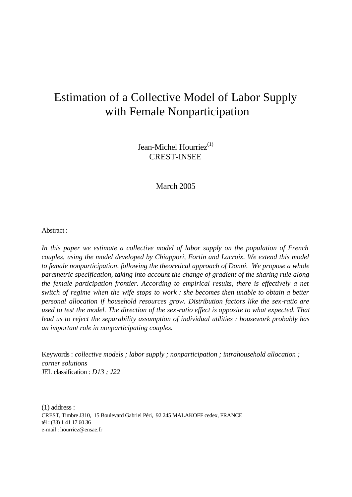# Estimation of a Collective Model of Labor Supply with Female Nonparticipation

Jean-Michel Hourriez $^{(1)}$ CREST-INSEE

March 2005

# Abstract :

*In this paper we estimate a collective model of labor supply on the population of French couples, using the model developed by Chiappori, Fortin and Lacroix. We extend this model to female nonparticipation, following the theoretical approach of Donni. We propose a whole parametric specification, taking into account the change of gradient of the sharing rule along the female participation frontier. According to empirical results, there is effectively a net switch of regime when the wife stops to work : she becomes then unable to obtain a better personal allocation if household resources grow. Distribution factors like the sex-ratio are used to test the model. The direction of the sex-ratio effect is opposite to what expected. That lead us to reject the separability assumption of individual utilities : housework probably has an important role in nonparticipating couples.*

Keywords : *collective models ; labor supply ; nonparticipation ; intrahousehold allocation ; corner solutions* JEL classification : *D13 ; J22*

(1) address : CREST, Timbre J310, 15 Boulevard Gabriel Péri, 92 245 MALAKOFF cedex, FRANCE tél : (33) 1 41 17 60 36 e-mail : hourriez@ensae.fr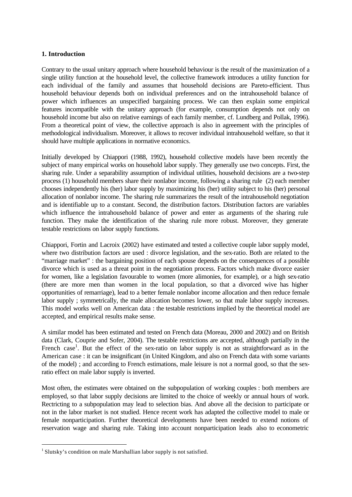# **1. Introduction**

Contrary to the usual unitary approach where household behaviour is the result of the maximization of a single utility function at the household level, the collective framework introduces a utility function for each individual of the family and assumes that household decisions are Pareto-efficient. Thus household behaviour depends both on individual preferences and on the intrahousehold balance of power which influences an unspecified bargaining process. We can then explain some empirical features incompatible with the unitary approach (for example, consumption depends not only on household income but also on relative earnings of each family member, cf. Lundberg and Pollak, 1996). From a theoretical point of view, the collective approach is also in agreement with the principles of methodological individualism. Moreover, it allows to recover individual intrahousehold welfare, so that it should have multiple applications in normative economics.

Initially developed by Chiappori (1988, 1992), household collective models have been recently the subject of many empirical works on household labor supply. They generally use two concepts. First, the sharing rule. Under a separability assumption of individual utilities, household decisions are a two-step process (1) household members share their nonlabor income, following a sharing rule (2) each member chooses independently his (her) labor supply by maximizing his (her) utility subject to his (her) personal allocation of nonlabor income. The sharing rule summarizes the result of the intrahousehold negotiation and is identifiable up to a constant. Second, the distribution factors. Distribution factors are variables which influence the intrahousehold balance of power and enter as arguments of the sharing rule function. They make the identification of the sharing rule more robust. Moreover, they generate testable restrictions on labor supply functions.

Chiappori, Fortin and Lacroix (2002) have estimated and tested a collective couple labor supply model, where two distribution factors are used : divorce legislation, and the sex-ratio. Both are related to the "marriage market" : the bargaining position of each spouse depends on the consequences of a possible divorce which is used as a threat point in the negotiation process. Factors which make divorce easier for women, like a legislation favourable to women (more alimonies, for example), or a high sex-ratio (there are more men than women in the local popula tion, so that a divorced wive has higher opportunities of remarriage), lead to a better female nonlabor income allocation and then reduce female labor supply ; symmetrically, the male allocation becomes lower, so that male labor supply increases. This model works well on American data : the testable restrictions implied by the theoretical model are accepted, and empirical results make sense.

A similar model has been estimated and tested on French data (Moreau, 2000 and 2002) and on British data (Clark, Couprie and Sofer, 2004). The testable restrictions are accepted, although partially in the French case<sup>1</sup>. But the effect of the sex-ratio on labor supply is not as straightforward as in the American case : it can be insignificant (in United Kingdom, and also on French data with some variants of the model) ; and according to French estimations, male leisure is not a normal good, so that the sexratio effect on male labor supply is inverted.

Most often, the estimates were obtained on the subpopulation of working couples : both members are employed, so that labor supply decisions are limited to the choice of weekly or annual hours of work. Rectricting to a subpopulation may lead to selection bias. And above all the decision to participate or not in the labor market is not studied. Hence recent work has adapted the collective model to male or female nonparticipation. Further theoretical developments have been needed to extend notions of reservation wage and sharing rule. Taking into account nonparticipation leads also to econometric

<sup>&</sup>lt;sup>1</sup> Slutsky's condition on male Marshallian labor supply is not satisfied.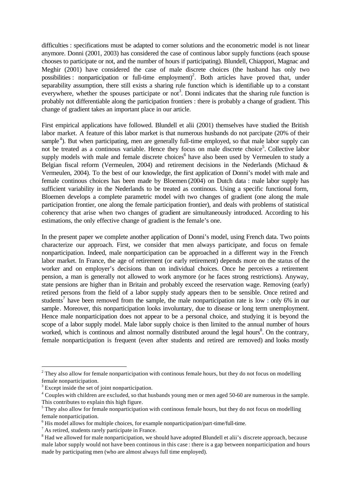difficulties : specifications must be adapted to corner solutions and the econometric model is not linear anymore. Donni (2001, 2003) has considered the case of continous labor supply functions (each spouse chooses to participate or not, and the number of hours if participating). Blundell, Chiappori, Magnac and Meghir (2001) have considered the case of male discrete choices (the husband has only two possibilities : nonparticipation or full-time employment)<sup>2</sup>. Both articles have proved that, under separability assumption, there still exists a sharing rule function which is identifiable up to a constant everywhere, whether the spouses participate or not<sup>3</sup>. Donni indicates that the sharing rule function is probably not differentiable along the participation frontiers : there is probably a change of gradient. This change of gradient takes an important place in our article.

First empirical applications have followed. Blundell et alii (2001) themselves have studied the British labor market. A feature of this labor market is that numerous husbands do not parcipate (20% of their sample<sup>4</sup>). But when participating, men are generally full-time employed, so that male labor supply can not be treated as a continous variable. Hence they focus on male discrete choice<sup>5</sup>. Collective labor supply models with male and female discrete choices<sup>6</sup> have also been used by Vermeulen to study a Belgian fiscal reform (Vermeulen, 2004) and retirement decisions in the Nederlands (Michaud & Vermeulen, 2004). To the best of our knowledge, the first application of Donni's model with male and female continous choices has been made by Bloemen (2004) on Dutch data : male labor supply has sufficient variability in the Nederlands to be treated as continous. Using a specific functional form, Bloemen develops a complete parametric model with two changes of gradient (one along the male participation frontier, one along the female participation frontier), and deals with problems of statistical coherency that arise when two changes of gradient are simultaneously introduced. According to his estimations, the only effective change of gradient is the female's one.

In the present paper we complete another application of Donni's model, using French data. Two points characterize our approach. First, we consider that men always participate, and focus on female nonparticipation. Indeed, male nonparticipation can be approached in a different way in the French labor market. In France, the age of retirement (or early retirement) depends more on the status of the worker and on employer's decisions than on individual choices. Once he perceives a retirement pension, a man is generally not allowed to work anymore (or he faces strong restrictions). Anyway, state pensions are higher than in Britain and probably exceed the reservation wage. Removing (early) retired persons from the field of a labor supply study appears then to be sensible. Once retired and students<sup>7</sup> have been removed from the sample, the male nonparticipation rate is low : only 6% in our sample. Moreover, this nonparticipation looks involuntary, due to disease or long term unemployment. Hence male nonparticipation does not appear to be a personal choice, and studying it is beyond the scope of a labor supply model. Male labor supply choice is then limited to the annual number of hours worked, which is continous and almost normally distributed around the legal hours<sup>8</sup>. On the contrary, female nonparticipation is frequent (even after students and retired are removed) and looks mostly

 $2^2$  They also allow for female nonparticipation with continous female hours, but they do not focus on modelling female nonparticipation.

 $3$  Except inside the set of joint nonparticipation.

 $4$  Couples with children are excluded, so that husbands young men or men aged 50-60 are numerous in the sample. This contributes to explain this high figure.

 $<sup>5</sup>$  They also allow for female nonparticipation with continous female hours, but they do not focus on modelling</sup> female nonparticipation.

 $6$  His model allows for multiple choices, for example nonparticipation/part-time/full-time.

 $7$  As retired, students rarely participate in France.

 $8$  Had we allowed for male nonparticipation, we should have adopted Blundell et alii's discrete approach, because male labor supply would not have been continous in this case : there is a gap between nonparticipation and hours made by participating men (who are almost always full time employed).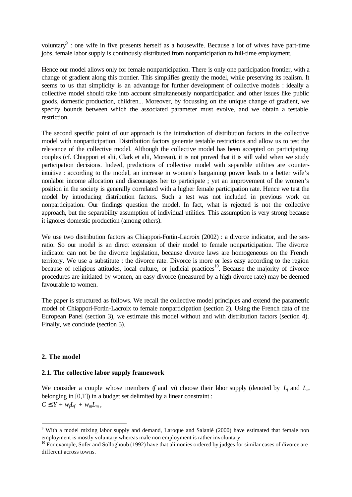voluntary $\theta$ : one wife in five presents herself as a housewife. Because a lot of wives have part-time jobs, female labor supply is continously distributed from nonparticipation to full-time employment.

Hence our model allows only for female nonparticipation. There is only one participation frontier, with a change of gradient along this frontier. This simplifies greatly the model, while preserving its realism. It seems to us that simplicity is an advantage for further development of collective models : ideally a collective model should take into account simultaneously nonparticipation and other issues like public goods, domestic production, children... Moreover, by focussing on the unique change of gradient, we specify bounds between which the associated parameter must evolve, and we obtain a testable restriction.

The second specific point of our approach is the introduction of distribution factors in the collective model with nonparticipation. Distribution factors generate testable restrictions and allow us to test the relevance of the collective model. Although the collective model has been accepted on participating couples (cf. Chiappori et alii, Clark et alii, Moreau), it is not proved that it is still valid when we study participation decisions. Indeed, predictions of collective model with separable utilities are counterintuitive : according to the model, an increase in women's bargaining power leads to a better wife's nonlabor income allocation and discourages her to participate ; yet an improvement of the women's position in the society is generally correlated with a higher female participation rate. Hence we test the model by introducing distribution factors. Such a test was not included in previous work on nonparticipation. Our findings question the model. In fact, what is rejected is not the collective approach, but the separability assumption of individual utilities. This assumption is very strong because it ignores domestic production (among others).

We use two distribution factors as Chiappori-Fortin-Lacroix (2002) : a divorce indicator, and the sexratio. So our model is an direct extension of their model to female nonparticipation. The divorce indicator can not be the divorce legislation, because divorce laws are homogeneous on the French territory. We use a substitute : the divorce rate. Divorce is more or less easy according to the region because of religious attitudes, local culture, or judicial practices<sup>10</sup>. Because the majority of divorce procedures are initiated by women, an easy divorce (measured by a high divorce rate) may be deemed favourable to women.

The paper is structured as follows. We recall the collective model principles and extend the parametric model of Chiappori-Fortin-Lacroix to female nonparticipation (section 2). Using the French data of the European Panel (section 3), we estimate this model without and with distribution factors (section 4). Finally, we conclude (section 5).

### **2. The model**

l

### **2.1. The collective labor supply framework**

We consider a couple whose members (*f* and *m*) choose their labor supply (denoted by  $L_f$  and  $L_m$ belonging in [0,T]) in a budget set delimited by a linear constraint :  $C f Y + w_f L_f + w_m L_m$ 

<sup>&</sup>lt;sup>9</sup> With a model mixing labor supply and demand, Laroque and Salanié (2000) have estimated that female non employment is mostly voluntary whereas male non employment is rather involuntary.

<sup>&</sup>lt;sup>10</sup> For example, Sofer and Solloghoub (1992) have that alimonies ordered by judges for similar cases of divorce are different across towns.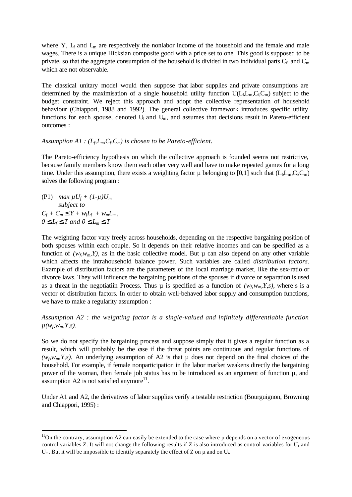where Y,  $L_f$  and  $L_m$  are respectively the nonlabor income of the household and the female and male wages. There is a unique Hicksian composite good with a price set to one. This good is supposed to be private, so that the aggregate consumption of the household is divided in two individual parts  $C_f$  and  $C_m$ which are not observable.

The classical unitary model would then suppose that labor supplies and private consumptions are determined by the maximisation of a single household utility function  $U(L_b L_m, C_b C_m)$  subject to the budget constraint. We reject this approach and adopt the collective representation of household behaviour (Chiappori, 1988 and 1992). The general collective framework introduces specific utility functions for each spouse, denoted  $U_f$  and  $U_m$ , and assumes that decisions result in Pareto-efficient outcomes :

Assumption  $AI$  :  $(L_f, L_m, C_f, C_m)$  is chosen to be Pareto-efficient.

The Pareto-efficiency hypothesis on which the collective approach is founded seems not restrictive, because family members know them each other very well and have to make repeated games for a long time. Under this assumption, there exists a weighting factor  $\mu$  belonging to [0,1] such that  $(L_b L_m, C_b C_m)$ solves the following program :

(P1)  $max \mu U_f + (1-\mu)U_m$ *subject to*  $C_f + C_m \mathbf{f} Y + w_f L_f + w_m L_m$ *0 £ L<sup>f</sup> £ T and 0 £ L<sup>m</sup> £ T*

l

The weighting factor vary freely across households, depending on the respective bargaining position of both spouses within each couple. So it depends on their relative incomes and can be specified as a function of  $(w_f, w_m, Y)$ , as in the basic collective model. But  $\mu$  can also depend on any other variable which affects the intrahousehold balance power. Such variables are called *distribution factors*. Example of distribution factors are the parameters of the local marriage market, like the sex-ratio or divorce laws. They will influence the bargaining positions of the spouses if divorce or separation is used as a threat in the negotiatiin Process. Thus  $\mu$  is specified as a function of  $(w_f, w_m, Y, s)$ , where s is a vector of distribution factors. In order to obtain well-behaved labor supply and consumption functions, we have to make a regularity assumption :

*Assumption A2 : the weighting factor is a single-valued and infinitely differentiable function*   $\mu(w_f, w_m, Y, s)$ .

So we do not specify the bargaining process and suppose simply that it gives a regular function as a result, which will probably be the case if the threat points are continuous and regular functions of  $(w_f, w_m, Y, s)$ . An underlying assumption of A2 is that  $\mu$  does not depend on the final choices of the household. For example, if female nonparticipation in the labor market weakens directly the bargaining power of the woman, then female job status has to be introduced as an argument of function  $\mu$ , and assumption A2 is not satisfied anymore $^{11}$ .

Under A1 and A2, the derivatives of labor supplies verify a testable restriction (Bourguignon, Browning and Chiappori, 1995) :

 $11$ On the contrary, assumption A2 can easily be extended to the case where  $\mu$  depends on a vector of exogeneous control variables Z. It will not change the following results if Z is also introduced as control variables for  $U_f$  and  $U_m$ . But it will be impossible to identify separately the effect of Z on  $\mu$  and on  $U_i$ .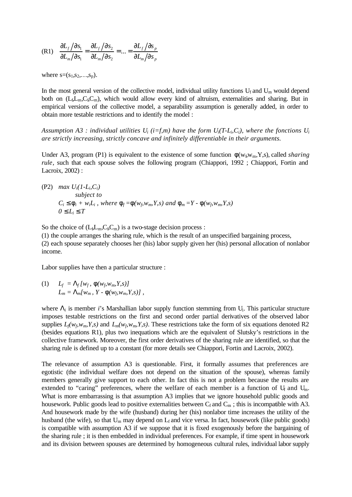(R1) 
$$
\frac{\partial L_f}{\partial s_1} = \frac{\partial L_f}{\partial s_2} = \dots = \frac{\partial L_f}{\partial s_n}
$$

$$
= \frac{\partial L_f}{\partial s_n}
$$

where  $s=(s_1,s_2,...,s_p)$ .

In the most general version of the collective model, individual utility functions  $U_f$  and  $U_m$  would depend both on  $(L_b L_m, C_b C_m)$ , which would allow every kind of altruism, externalities and sharing. But in empirical versions of the collective model, a separability assumption is generally added, in order to obtain more testable restrictions and to identify the model :

Assumption A3 : individual utilities  $U_i$  (i=f,m) have the form  $U_i(T-L_i, C_i)$ , where the fonctions  $U_i$ *are strictly increasing, strictly concave and infinitely differentiable in their arguments.*

Under A3, program (P1) is equivalent to the existence of some function  $\phi(w_f w_m, Y, s)$ , called *sharing rule*, such that each spouse solves the following program (Chiappori, 1992; Chiappori, Fortin and Lacroix, 2002) :

(P2) *max* 
$$
U_i(I - L_i, C_i)
$$

\n*subject to*

\n $C_i \mathbf{f}_i + w_i L_i$ , where  $\mathbf{f}_f = \mathbf{f}(w_f, w_m, Y, s)$  and  $\mathbf{f}_m = Y - \mathbf{f}(w_f, w_m, Y, s)$ 

\n $0 \mathbf{f}_i \mathbf{f}_i \mathbf{f}_i$ 

So the choice of  $(L_bL_m,C_bC_m)$  is a two-stage decision process : (1) the couple arranges the sharing rule, which is the result of an unspecified bargaining process, (2) each spouse separately chooses her (his) labor supply given her (his) personal allocation of nonlabor income.

Labor supplies have then a particular structure :

(1) 
$$
L_f = L_f[w_f, f(w_f, w_m, Y, s)]
$$
  

$$
L_m = L_m[w_m, Y - f(w_f, w_m, Y, s)]
$$

where  $L_i$  is member *i*'s Marshallian labor supply function stemming from  $U_i$ . This particular structure imposes testable restrictions on the first and second order partial derivatives of the observed labor supplies  $L_f(w_f, w_m, Y, s)$  and  $L_m(w_f, w_m, Y, s)$ . These restrictions take the form of six equations denoted R2 (besides equations R1), plus two inequations which are the equivalent of Slutsky's restrictions in the collective framework. Moreover, the first order derivatives of the sharing rule are identified, so that the sharing rule is defined up to a constant (for more details see Chiappori, Fortin and Lacroix, 2002).

The relevance of assumption A3 is questionable. First, it formally assumes that preferences are egotistic (the individual welfare does not depend on the situation of the spouse), whereas family members generally give support to each other. In fact this is not a problem because the results are extended to "caring" preferences, where the welfare of each member is a function of  $U_f$  and  $U_m$ . What is more embarrassing is that assumption A3 implies that we ignore household public goods and housework. Public goods lead to positive externalities between  $C_f$  and  $C_m$ ; this is incompatible with A3. And housework made by the wife (husband) during her (his) nonlabor time increases the utility of the husband (the wife), so that  $U_m$  may depend on  $L_f$  and vice versa. In fact, housework (like public goods) is compatible with assumption A3 if we suppose that it is fixed exogenously before the bargaining of the sharing rule ; it is then embedded in individual preferences. For example, if time spent in housework and its division between spouses are determined by homogeneous cultural rules, individual labor supply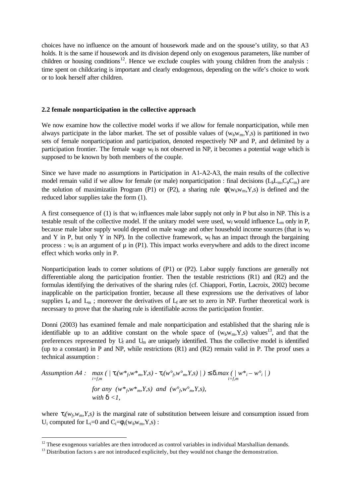choices have no influence on the amount of housework made and on the spouse's utility, so that A3 holds. It is the same if housework and its division depend only on exogenous parameters, like number of children or housing conditions<sup>12</sup>. Hence we exclude couples with young children from the analysis : time spent on childcaring is important and clearly endogenous, depending on the wife's choice to work or to look herself after children.

#### **2.2 female nonparticipation in the collective approach**

We now examine how the collective model works if we allow for female nonparticipation, while men always participate in the labor market. The set of possible values of  $(w_f w_m, Y, s)$  is partitioned in two sets of female nonparticipation and participation, denoted respectively NP and P, and delimited by a participation frontier. The female wage  $w_f$  is not observed in NP, it becomes a potential wage which is supposed to be known by both members of the couple.

Since we have made no assumptions in Participation in A1-A2-A3, the main results of the collective model remain valid if we allow for female (or male) nonparticipation : final decisions  $(L_b L_m, C_b C_m)$  are the solution of maximizatiin Program (P1) or (P2), a sharing rule  $\phi(w_f w_m, Y, s)$  is defined and the reduced labor supplies take the form (1).

A first consequence of  $(1)$  is that w<sub>f</sub> influences male labor supply not only in P but also in NP. This is a testable result of the collective model. If the unitary model were used,  $w_f$  would influence  $L_m$  only in P, because male labor supply would depend on male wage and other household income sources (that is  $w_f$ and Y in P, but only Y in NP). In the collective framework,  $w_f$  has an impact through the bargaining process :  $w_f$  is an argument of  $\mu$  in (P1). This impact works everywhere and adds to the direct income effect which works only in P.

Nonparticipation leads to corner solutions of (P1) or (P2). Labor supply functions are generally not differentiable along the participation frontier. Then the testable restrictions (R1) and (R2) and the formulas identifying the derivatives of the sharing rules (cf. Chiappori, Fortin, Lacroix, 2002) become inapplicable on the participation frontier, because all these expressions use the derivatives of labor supplies  $L_f$  and  $L_m$ ; moreover the derivatives of  $L_f$  are set to zero in NP. Further theoretical work is necessary to prove that the sharing rule is identifiable across the participation frontier.

Donni (2003) has examined female and male nonparticipation and established that the sharing rule is identifiable up to an additive constant on the whole space of  $(w_f w_m, Y, s)$  values<sup>13</sup>, and that the preferences represented by  $U_f$  and  $U_m$  are uniquely identified. Thus the collective model is identified (up to a constant) in P and NP, while restrictions (R1) and (R2) remain valid in P. The proof uses a technical assumption :

Assumption A4: 
$$
\max_{i=f,m} (\mid \mathbf{t}_i(w^*_{\beta}w^*_{m},Y,s) - \mathbf{t}_i(w^{\circ}_{\beta}w^{\circ}_{m},Y,s) \mid) \mathbf{\pounds} \mathbf{d}.max(\mid w^*_{i}-w^{\circ}_{i}\mid)
$$
  
for any  $(w^*_{\beta}w^*_{m},Y,s)$  and  $(w^{\circ}_{\beta}w^{\circ}_{m},Y,s)$ ,  
with  $\mathbf{d} < 1$ ,

where  $t_i(w_f, w_m, Y, s)$  is the marginal rate of substitution between leisure and consumption issued from U<sub>i</sub> computed for  $L_i=0$  and  $C_i=\phi_i(w_f,w_m,Y,s)$ :

 $12$  These exogenous variables are then introduced as control variables in individual Marshallian demands.

<sup>&</sup>lt;sup>13</sup> Distribution factors s are not introduced explicitely, but they would not change the demonstration.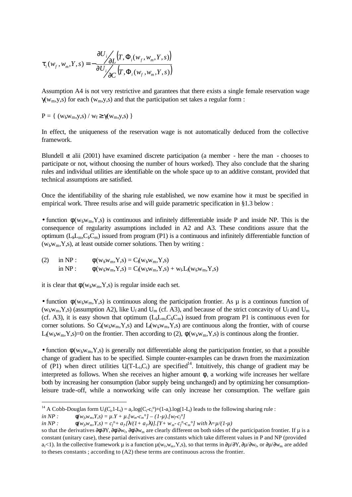$$
\boldsymbol{t}_{i}(w_{f}, w_{m}, Y, s) = -\frac{\partial U_{i}}{\partial U_{i}} \left( T, \Phi_{i}(w_{f}, w_{m}, Y, s) \right) \n\sqrt{\frac{\partial U_{i}}{\partial C} \left( T, \Phi_{i}(w_{f}, w_{m}, Y, s) \right)}
$$

Assumption A4 is not very restrictive and garantees that there exists a single female reservation wage  $\gamma(w_m, y, s)$  for each (w<sub>m</sub>,y,s) and that the participation set takes a regular form :

$$
P=\{\ (w_{f_s}w_{m},y,s)\ /\ w_{f}\!\geq\!\gamma(w_{m},\!y,s)\ \}
$$

In effect, the uniqueness of the reservation wage is not automatically deduced from the collective framework.

Blundell et alii (2001) have examined discrete participation (a member - here the man - chooses to participate or not, without choosing the number of hours worked). They also conclude that the sharing rules and individual utilities are identifiable on the whole space up to an additive constant, provided that technical assumptions are satisfied.

Once the identifiability of the sharing rule established, we now examine how it must be specified in empirical work. Three results arise and will guide parametric specification in §1.3 below :

• function  $\phi(w_f, w_m, Y, s)$  is continuous and infinitely differentiable inside P and inside NP. This is the consequence of regularity assumptions included in A2 and A3. These conditions assure that the optimum ( $L_{f}L_{m}$ , $C_{f}C_{m}$ ) issued from program (P1) is a continuous and infinitely differentiable function of  $(w_f w_m, Y, s)$ , at least outside corner solutions. Then by writing :

(2) in NP: 
$$
\phi(w_{f}w_{m}, Y, s) = C_{f}(w_{f}w_{m}, Y, s)
$$
  
in NP:  $\phi(w_{f}w_{m}, Y, s) = C_{f}(w_{f}w_{m}, Y, s) + w_{f}L_{f}(w_{f}w_{m}, Y, s)$ 

it is clear that  $\phi(w_f, w_m, Y, s)$  is regular inside each set.

• function  $\phi(w_f, w_m, Y, s)$  is continuous along the participation frontier. As  $\mu$  is a continous function of ( $w_f w_m$ ,Y,s) (assumption A2), like  $U_f$  and  $U_m$  (cf. A3), and because of the strict concavity of  $U_f$  and  $U_m$ (cf. A3), it is easy shown that optimum  $(L<sub>f</sub>L<sub>m</sub>, C<sub>f</sub>C<sub>m</sub>)$  issued from program P1 is continuous even for corner solutions. So  $C_f(w_f w_m, Y, s)$  and  $L_f(w_f w_m, Y, s)$  are continuous along the frontier, with of course L<sub>f</sub>( $w_f$ , $w_m$ ,Y,s)=0 on the frontier. Then according to (2),  $\phi(w_f w_m, Y, s)$  is continous along the frontier.

• function  $\phi(w_f, w_m, Y, s)$  is generally not differentiable along the participation frontier, so that a possible change of gradient has to be specified. Simple counter-examples can be drawn from the maximization of (P1) when direct utilities  $U(T-L_i,C_i)$  are specified<sup>14</sup>. Intuitively, this change of gradient may be interpreted as follows. When she receives an higher amount  $\phi$ , a working wife increases her welfare both by increasing her consumption (labor supply being unchanged) and by optimizing her consumptionleisure trade-off, while a nonworking wife can only increase her consumption. The welfare gain

<sup>&</sup>lt;sup>14</sup> A Cobb-Douglas form  $U_i(C_i, 1-L_i) = a_i \log(C_i - c_i) + (1-a_i) \log(1-L_i)$  leads to the following sharing rule :

 $in NP:$  $\hat{f}(w_{\beta}w_{m},Y,s) = \mu.Y + \mu.[w_{m} - c_{m}^{\circ} - (1-\mu).[w_{\tau} - c_{\beta}^{\circ}]$ 

 $in NP:$  $B_{\rm w}$ ,  $Y$ ,  $S$ ) =  $c_f$ <sup>o</sup> +  $a_f$ [**]**/(1+  $a_f$ **]**)].[Y+  $w_m$ -  $c_f$ <sup>o</sup>- $c_m$ <sup>o</sup>] with **l** =  $\mu$ /(1- $\mu$ )

so that the derivatives ∂φ∂Υ, ∂φ∂w<sub>f</sub>, ∂φ∂w<sub>m</sub> are clearly different on both sides of the participation frontier. If μ is a constant (unitary case), these partial derivatives are constants which take different values in P and NP (provided  $a_f$ <1). In the collective framework  $\mu$  is a function  $\mu(w_f, w_m, Y, s)$ , so that terms in  $\partial \mu/\partial Y, \partial \mu/\partial w_f$ , or  $\partial \mu/\partial w_m$  are added to theses constants ; according to (A2) these terms are continuous across the frontier.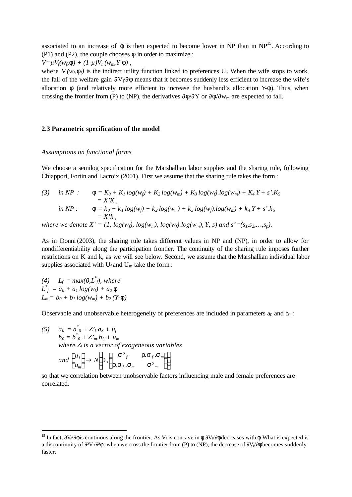associated to an increase of  $\phi$  is then expected to become lower in NP than in NP<sup>15</sup>. According to (P1) and (P2), the couple chooses  $\phi$  in order to maximize :

$$
V = \mu V_f(w_f \mathbf{f}) + (1-\mu)V_m(w_m Y \mathbf{f}),
$$

where  $V_i(w_i, \mathbf{f}_i)$  is the indirect utility function linked to preferences  $U_i$ . When the wife stops to work, the fall of the welfare gain  $\partial V_f/\partial \phi$  means that it becomes suddenly less efficient to increase the wife's allocation  $\phi$  (and relatively more efficient to increase the husband's allocation Y- $\phi$ ). Thus, when crossing the frontier from (P) to (NP), the derivatives  $\partial \phi / \partial Y$  or  $\partial \phi / \partial w_m$  are expected to fall.

#### **2.3 Parametric specification of the model**

#### *Assumptions on functional forms*

We choose a semilog specification for the Marshallian labor supplies and the sharing rule, following Chiappori, Fortin and Lacroix (2001). First we assume that the sharing rule takes the form :

(3) in NP : 
$$
\mathbf{f} = K_0 + K_1 \log(w_f) + K_2 \log(w_m) + K_3 \log(w_f) \cdot \log(w_m) + K_4 Y + s' \cdot K_5
$$
  
\t\t\t $= X'K$ ,  
\t\t\t $\mathbf{f} = k_0 + k_1 \log(w_f) + k_2 \log(w_m) + k_3 \log(w_f) \cdot \log(w_m) + k_4 Y + s' \cdot k_5$   
\t\t\t $= X'k$ ,  
\t\t\twhere we denote  $X' = (1, \log(w_f), \log(w_m), \log(w_f) \cdot \log(w_m), Y, s)$  and  $s' = (s_1, s_2, ..., s_p)$ .

As in Donni (2003), the sharing rule takes different values in NP and (NP), in order to allow for nondifferentiability along the participation frontier. The continuity of the sharing rule imposes further restrictions on K and k, as we will see below. Second, we assume that the Marshallian individual labor supplies associated with  $U_f$  and  $U_m$  take the form:

(4)  $L_f = max(0, L_f^*)$ , where  $L_f^* = a_0 + a_1 \log(w_f) + a_2 f$  $L_m = b_0 + b_1 log(w_m) + b_2 (Y - f)$ 

l

Observable and unobservable heterogeneity of preferences are included in parameters  $a_0$  and  $b_0$ :

(5) 
$$
a_0 = a_0^* + Z_f^* a_3 + u_f
$$
  
\n $b_0 = b_0^* + Z_m^* b_3 + u_m$   
\nwhere  $Z_i$  is a vector of exogeneous variables  
\nand  $\begin{pmatrix} u_f \\ u_m \end{pmatrix} \rightarrow N \begin{pmatrix} 0, & s^2 f & r.s_f.s_m \\ r.s_f.s_m & s^2 m \end{pmatrix}$ 

so that we correlation between unobservable factors influencing male and female preferences are correlated.

<sup>&</sup>lt;sup>15</sup> In fact,  $\partial V_f/\partial \phi$  is continous along the frontier. As  $V_f$  is concave in  $\phi$ ,  $\partial V_f/\partial \phi$  decreases with  $\phi$ . What is expected is a discontinuity of  $\partial^2 V_f/\partial^2 \phi$ : when we cross the frontier from (P) to (NP), the decrease of  $\partial V_f/\partial \phi$  becomes suddenly faster.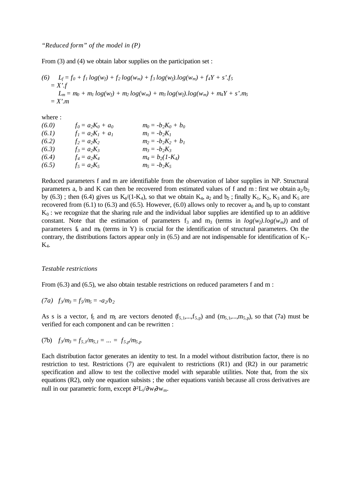From (3) and (4) we obtain labor supplies on the participation set :

(6) 
$$
L_f = f_0 + f_1 \log(w_f) + f_2 \log(w_m) + f_3 \log(w_f) \cdot \log(w_m) + f_4Y + s' \cdot f_5
$$
  
=  $X' \cdot f$   
 $L_m = m_0 + m_1 \log(w_f) + m_2 \log(w_m) + m_3 \log(w_f) \cdot \log(w_m) + m_4Y + s' \cdot m_5$   
=  $X' \cdot m$ 

where :

| (6.0) | $f_0 = a_2 K_0 + a_0$ | $m_0 = -b_2 K_0 + b_0$ |
|-------|-----------------------|------------------------|
| (6.1) | $f_1 = a_2 K_1 + a_1$ | $m_l = -b_2K_l$        |
| (6.2) | $f_2 = a_2 K_2$       | $m_2 = -b_2K_2 + b_1$  |
| (6.3) | $f_3 = a_2 K_3$       | $m_3 = -b_2K_3$        |
| (6.4) | $f_4 = a_2 K_4$       | $m_4 = b_2(1-K_4)$     |
| (6.5) | $f_5 = a_2 K_5$       | $m_5 = -b_2K_5$        |

Reduced parameters f and m are identifiable from the observation of labor supplies in NP. Structural parameters a, b and K can then be recovered from estimated values of f and m : first we obtain  $a_2/b_2$ by (6.3); then (6.4) gives us  $K_4/(1-K_4)$ , so that we obtain  $K_4$ ,  $a_2$  and  $b_2$ ; finally  $K_1$ ,  $K_2$ ,  $K_3$  and  $K_5$  are recovered from (6.1) to (6.3) and (6.5). However, (6.0) allows only to recover  $a_0$  and  $b_0$  up to constant  $K_0$ : we recognize that the sharing rule and the individual labor supplies are identified up to an additive constant. Note that the estimation of parameters  $f_3$  and  $m_3$  (terms in  $log(w_f)log(w_m)$ ) and of parameters  $f_4$  and  $m<sub>4</sub>$  (terms in Y) is crucial for the identification of structural parameters. On the contrary, the distributions factors appear only in (6.5) and are not indispensable for identification of  $K_1$ - $K_4$ .

#### *Testable restrictions*

From (6.3) and (6.5), we also obtain testable restrictions on reduced parameters f and m :

$$
(7a) \ \ f_3/m_3 = f_5/m_5 = -a_2/b_2
$$

As s is a vector,  $f_5$  and  $m_5$  are vectors denoted  $(f_{5,1},...,f_{5,p})$  and  $(m_{5,1},...,m_{5,p})$ , so that (7a) must be verified for each component and can be rewritten :

(7b) 
$$
f_3/m_3 = f_{5,1}/m_{5,1} = ... = f_{5,p}/m_{5,p}
$$

Each distribution factor generates an identity to test. In a model without distribution factor, there is no restriction to test. Restrictions (7) are equivalent to restrictions (R1) and (R2) in our parametric specification and allow to test the collective model with separable utilities. Note that, from the six equations (R2), only one equation subsists ; the other equations vanish because all cross derivatives are null in our parametric form, except  $\partial^2 L_i/\partial w_i \partial w_m$ .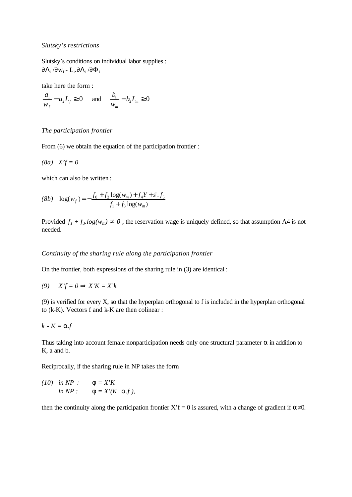#### *Slutsky's restrictions*

Slutsky's conditions on individual labor supplies :  $\partial \Lambda_{\rm i}$  / $\partial$ w<sub>i</sub> - L<sub>i</sub>. $\partial \Lambda_{\rm i}$  / $\partial \Phi_{\rm i}$ 

take here the form :

$$
\frac{a_1}{w_f} - a_2 L_f \ge 0 \quad \text{and} \quad \frac{b_1}{w_m} - b_2 L_m \ge 0
$$

#### *The participation frontier*

From (6) we obtain the equation of the participation frontier :

$$
(8a) \quad X'f = 0
$$

which can also be written :

$$
(8b) \quad \log(w_f) = -\frac{f_0 + f_2 \log(w_m) + f_4 Y + s'.f_5}{f_1 + f_3 \log(w_m)}
$$

Provided  $f_1 + f_3 \cdot log(w_m)$  <sup>1</sup> 0, the reservation wage is uniquely defined, so that assumption A4 is not needed.

#### *Continuity of the sharing rule along the participation frontier*

On the frontier, both expressions of the sharing rule in (3) are identical:

*(9) X'f = 0 Þ X'K = X'k*

(9) is verified for every X, so that the hyperplan orthogonal to f is included in the hyperplan orthogonal to (k-K). Vectors f and k-K are then colinear :

$$
k - K = \mathbf{a} f
$$

Thus taking into account female nonparticipation needs only one structural parameter  $\alpha$  in addition to K, a and b.

Reciprocally, if the sharing rule in NP takes the form

 $(10)$  *in NP* :  $f = X'K$ *in NP* :  $f = X'(K+a.f)$ ,

then the continuity along the participation frontier  $X'f = 0$  is assured, with a change of gradient if  $\alpha \neq 0$ .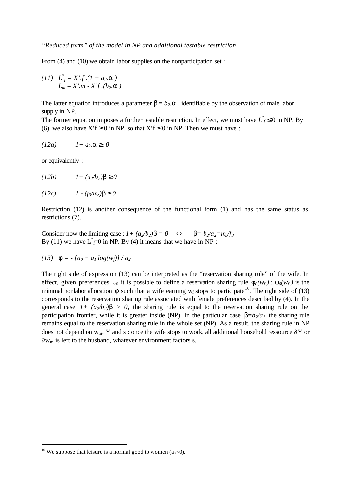From (4) and (10) we obtain labor supplies on the nonparticipation set :

(11) 
$$
L_f^* = X' \cdot f \cdot (1 + a_2 \cdot a)
$$
  
 $L_m = X' \cdot m - X' f \cdot (b_2 \cdot a)$ 

The latter equation introduces a parameter  $\beta = b_2 \cdot \mathbf{a}$ , identifiable by the observation of male labor supply in NP.

The former equation imposes a further testable restriction. In effect, we must have  $L_f^* \leq 0$  in NP. By (6), we also have  $X'f \ge 0$  in NP, so that  $X'f \le 0$  in NP. Then we must have :

$$
(12a) \t 1 + a_2 \t a^3 0
$$

or equivalently :

$$
(12b) \t I + (a_2/b_2) \mathbf{b}^3 0
$$

$$
(12c) \tI - (f_3/m_3) \mathbf{b}^3 0
$$

Restriction (12) is another consequence of the functional form (1) and has the same status as restrictions (7).

Consider now the limiting case :  $I + (a_2/b_2)\mathbf{b} = 0 \Leftrightarrow \mathbf{b} = -b_2/a_2 = m_3/f_3$ By (11) we have  $L^* = 0$  in NP. By (4) it means that we have in NP :

(13) 
$$
\mathbf{f} = -[a_0 + a_1 \log(w_f)] / a_2
$$

The right side of expression (13) can be interpreted as the "reservation sharing rule" of the wife. In effect, given preferences U<sub>6</sub> it is possible to define a reservation sharing rule  $f_0(w_f)$ :  $f_0(w_f)$  is the minimal nonlabor allocation  $\phi$  such that a wife earning w<sub>f</sub> stops to participate<sup>16</sup>. The right side of (13) corresponds to the reservation sharing rule associated with female preferences described by (4). In the general case  $1 + (a_2/b_2)$ *b*  $> 0$ , the sharing rule is equal to the reservation sharing rule on the participation frontier, while it is greater inside (NP). In the particular case  $\mathbf{b} = b_2/a_2$ , the sharing rule remains equal to the reservation sharing rule in the whole set (NP). As a result, the sharing rule in NP does not depend on w<sub>m</sub>, Y and s : once the wife stops to work, all additional household ressource ∂Y or ∂wm is left to the husband, whatever environment factors s.

<sup>&</sup>lt;sup>16</sup> We suppose that leisure is a normal good to women (a<sub>2</sub><0).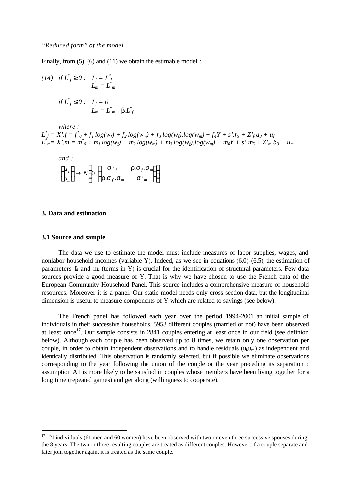Finally, from  $(5)$ ,  $(6)$  and  $(11)$  we obtain the estimable model :

(14) if 
$$
L_f^* \stackrel{\sigma}{\circ} 0
$$
:  $L_f = L_f^*$   
\n $L_m = L_m^*$   
\nif  $L_f^* \mathbf{f} 0$ :  $L_f = 0$   
\n $L_m = L_m^* \cdot \mathbf{b} L_f^*$ 

*where :*  $L_f^* = X'.f = f^*_{0} + f_1 \log(w_f) + f_2 \log(w_m) + f_3 \log(w_f) \log(w_m) + f_4Y + s'.f_5 + Z'_f.a_3 + u_f$  $L^{*}_{\ \ m} = X'.m = m^{*}_{\ \ 0} + m_{I} \ log(w_{f}) + m_{2} \ log(w_{m}) + m_{3} \ log(w_{f}).log(w_{m}) + m_{4}Y + s'.m_{5} + Z'._{m} \ b_{3} + u_{m}$ 

and:  
\n
$$
\begin{pmatrix} u_f \\ u_m \end{pmatrix} \rightarrow N \begin{pmatrix} 0, & s^2 f & r.s_f.s_m \\ r.s_f.s_m & s^2 m \end{pmatrix}
$$

#### **3. Data and estimation**

#### **3.1 Source and sample**

l

The data we use to estimate the model must include measures of labor supplies, wages, and nonlabor household incomes (variable Y). Indeed, as we see in equations (6.0)-(6.5), the estimation of parameters  $f_4$  and  $m_4$  (terms in Y) is crucial for the identification of structural parameters. Few data sources provide a good measure of Y. That is why we have chosen to use the French data of the European Community Household Panel. This source includes a comprehensive measure of household resources. Moreover it is a panel. Our static model needs only cross-section data, but the longitudinal dimension is useful to measure components of Y which are related to savings (see below).

The French panel has followed each year over the period 1994-2001 an initial sample of individuals in their successive households. 5953 different couples (married or not) have been observed at least once<sup>17</sup>. Our sample consists in 2841 couples entering at least once in our field (see definion below). Although each couple has been observed up to 8 times, we retain only one observation per couple, in order to obtain independent observations and to handle residuals  $(u<sub>i</sub>u<sub>m</sub>)$  as independent and identically distributed. This observation is randomly selected, but if possible we eliminate observations corresponding to the year following the union of the couple or the year preceding its separation : assumption A1 is more likely to be satisfied in couples whose members have been living together for a long time (repeated games) and get along (willingness to cooperate).

 $17$  121 individuals (61 men and 60 women) have been observed with two or even three successive spouses during the 8 years. The two or three resulting couples are treated as different couples. However, if a couple separate and later join together again, it is treated as the same couple.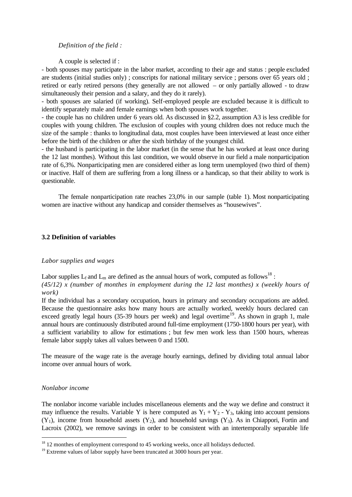#### *Definition of the field :*

A couple is selected if :

- both spouses may participate in the labor market, according to their age and status : people excluded are students (initial studies only) ; conscripts for national military service ; persons over 65 years old ; retired or early retired persons (they generally are not allowed – or only partially allowed - to draw simultaneously their pension and a salary, and they do it rarely).

- both spouses are salaried (if working). Self-employed people are excluded because it is difficult to identify separately male and female earnings when both spouses work together.

- the couple has no children under 6 years old. As discussed in §2.2, assumption A3 is less credible for couples with young children. The exclusion of couples with young children does not reduce much the size of the sample : thanks to longitudinal data, most couples have been interviewed at least once either before the birth of the children or after the sixth birthday of the youngest child.

- the husband is participating in the labor market (in the sense that he has worked at least once during the 12 last monthes). Without this last condition, we would observe in our field a male nonparticipation rate of 6,3%. Nonparticipating men are considered either as long term unemployed (two third of them) or inactive. Half of them are suffering from a long illness or a handicap, so that their ability to work is questionable.

The female nonparticipation rate reaches 23,0% in our sample (table 1). Most nonparticipating women are inactive without any handicap and consider themselves as "housewives".

#### **3.2 Definition of variables**

#### *Labor supplies and wages*

Labor supplies  $L_f$  and  $L_m$  are defined as the annual hours of work, computed as follows<sup>18</sup>:

*(45/12) x (number of monthes in employment during the 12 last monthes) x (weekly hours of work)*

If the individual has a secondary occupation, hours in primary and secondary occupations are added. Because the questionnaire asks how many hours are actually worked, weekly hours declared can exceed greatly legal hours (35-39 hours per week) and legal overtime<sup>19</sup>. As shown in graph 1, male annual hours are continuously distributed around full-time employment (1750-1800 hours per year), with a sufficient variability to allow for estimations ; but few men work less than 1500 hours, whereas female labor supply takes all values between 0 and 1500.

The measure of the wage rate is the average hourly earnings, defined by dividing total annual labor income over annual hours of work.

#### *Nonlabor income*

l

The nonlabor income variable includes miscellaneous elements and the way we define and construct it may influence the results. Variable Y is here computed as  $Y_1 + Y_2 - Y_3$ , taking into account pensions  $(Y_1)$ , income from household assets  $(Y_2)$ , and household savings  $(Y_3)$ . As in Chiappori, Fortin and Lacroix (2002), we remove savings in order to be consistent with an intertemporally separable life

<sup>&</sup>lt;sup>18</sup> 12 monthes of employment correspond to 45 working weeks, once all holidays deducted.

 $19$  Extreme values of labor supply have been truncated at 3000 hours per year.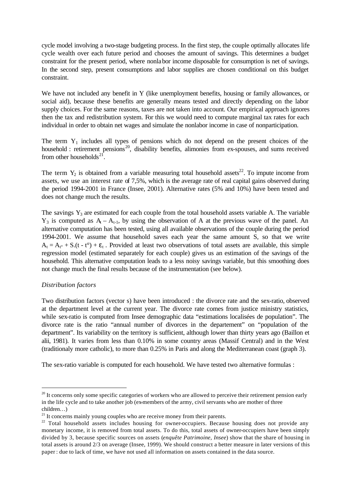cycle model involving a two-stage budgeting process. In the first step, the couple optimally allocates life cycle wealth over each future period and chooses the amount of savings. This determines a budget constraint for the present period, where nonlabor income disposable for consumption is net of savings. In the second step, present consumptions and labor supplies are chosen conditional on this budget constraint.

We have not included any benefit in Y (like unemployment benefits, housing or family allowances, or social aid), because these benefits are generally means tested and directly depending on the labor supply choices. For the same reasons, taxes are not taken into account. Our empirical approach ignores then the tax and redistribution system. For this we would need to compute marginal tax rates for each individual in order to obtain net wages and simulate the nonlabor income in case of nonparticipation.

The term  $Y_1$  includes all types of pensions which do not depend on the present choices of the household : retirement pensions<sup>20</sup>, disability benefits, alimonies from ex-spouses, and sums received from other households $^{21}$ .

The term  $Y_2$  is obtained from a variable measuring total household assets<sup>22</sup>. To impute income from assets, we use an interest rate of 7,5%, which is the average rate of real capital gains observed during the period 1994-2001 in France (Insee, 2001). Alternative rates (5% and 10%) have been tested and does not change much the results.

The savings  $Y_3$  are estimated for each couple from the total household assets variable A. The variable  $Y_3$  is computed as  $A_t - A_{t-1}$ , by using the observation of A at the previous wave of the panel. An alternative computation has been tested, using all available observations of the couple during the period 1994-2001. We assume that household saves each year the same amount S, so that we write  $A_t = A_{t} + S(t - t^{\circ}) + \varepsilon_t$ . Provided at least two observations of total assets are available, this simple regression model (estimated separately for each couple) gives us an estimation of the savings of the household. This alternative computation leads to a less noisy savings variable, but this smoothing does not change much the final results because of the instrumentation (see below).

### *Distribution factors*

l

Two distribution factors (vector s) have been introduced : the divorce rate and the sex-ratio, observed at the department level at the current year. The divorce rate comes from justice ministry statistics, while sex-ratio is computed from Insee demographic data "estimations localisées de population". The divorce rate is the ratio "annual number of divorces in the departement" on "population of the department". Its variability on the territory is sufficient, although lower than thirty years ago (Baillon et alii, 1981). It varies from less than 0.10% in some country areas (Massif Central) and in the West (traditionaly more catholic), to more than 0.25% in Paris and along the Mediterranean coast (graph 3).

The sex-ratio variable is computed for each household. We have tested two alternative formulas :

 $20$  It concerns only some specific categories of workers who are allowed to perceive their retirement pension early in the life cycle and to take another job (ex-members of the army, civil servants who are mother of three children…)

 $21$  It concerns mainly young couples who are receive money from their parents.

<sup>&</sup>lt;sup>22</sup> Total household assets includes housing for owner-occupiers. Because housing does not provide any monetary income, it is removed from total assets. To do this, total assets of owner-occupiers have been simply divided by 3, because specific sources on assets (*enquête Patrimoine, Insee*) show that the share of housing in total assets is around 2/3 on average (Insee, 1999). We should construct a better measure in later versions of this paper : due to lack of time, we have not used all information on assets contained in the data source.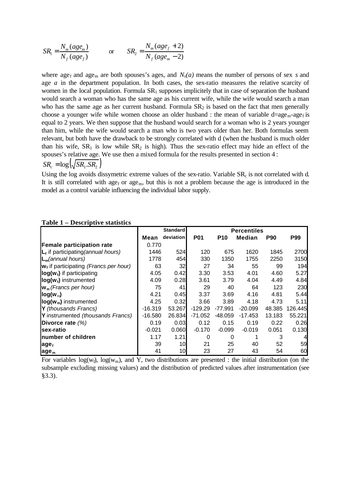$$
SR_1 = \frac{N_m(age_m)}{N_f(age_f)}
$$
 or 
$$
SR_2 = \frac{N_m(age_f + 2)}{N_f(age_m - 2)}
$$

where age<sub>f</sub> and age<sub>m</sub> are both spouses's ages, and  $N_s(a)$  means the number of persons of sex *s* and age *a* in the department population. In both cases, the sex-ratio measures the relative scarcity of women in the local population. Formula  $SR<sub>1</sub>$  supposes implicitely that in case of separation the husband would search a woman who has the same age as his current wife, while the wife would search a man who has the same age as her current husband. Formula  $SR<sub>2</sub>$  is based on the fact that men generally choose a younger wife while women choose an older husband : the mean of variable  $d = age_m \cdot age_f$  is equal to 2 years. We then suppose that the husband would search for a woman who is 2 years younger than him, while the wife would search a man who is two years older than her. Both formulas seem relevant, but both have the drawback to be strongly correlated with d (when the husband is much older than his wife,  $SR_1$  is low while  $SR_2$  is high). Thus the sex-ratio effect may hide an effect of the spouses's relative age. We use then a mixed formula for the results presented in section 4 :

 $SR_c = \log \left( \sqrt{SR_1.SR_2} \right)$ 

Using the log avoids dissymetric extreme values of the sex-ratio. Variable  $SR<sub>c</sub>$  is not correlated with d. It is still correlated with  $age_f$  or  $age_m$ , but this is not a problem because the age is introduced in the model as a control variable influencing the individual labor supply.

| TUDIV T<br>Descriptive statistics        |           |                 |            |            |                    |            |                |
|------------------------------------------|-----------|-----------------|------------|------------|--------------------|------------|----------------|
|                                          |           | <b>Standard</b> |            |            | <b>Percentiles</b> |            |                |
|                                          | Mean      | deviation       | <b>P01</b> | <b>P10</b> | Median             | <b>P90</b> | <b>P99</b>     |
| <b>Female participation rate</b>         | 0.770     |                 |            |            |                    |            |                |
| $L_f$ if participating (annual hours)    | 1446      | 524             | 120        | 675        | 1620               | 1845       | 2700           |
| $L_m$ (annual hours)                     | 1778      | 454             | 330        | 1350       | 1755               | 2250       | 3150           |
| $w_i$ if participating (Francs per hour) | 63        | 32              | 27         | 34         | 55                 | 99         | 194            |
| $log(w_i)$ if participating              | 4.05      | 0.42            | 3.30       | 3.53       | 4.01               | 4.60       | 5.27           |
| log(w <sub>f</sub> ) instrumented        | 4.09      | 0.28            | 3.61       | 3.79       | 4.04               | 4.49       | 4.84           |
| $w_m$ (Francs per hour)                  | 75        | 41              | 29         | 40         | 64                 | 123        | 230            |
| $log(w_m)$                               | 4.21      | 0.45            | 3.37       | 3.69       | 4.16               | 4.81       | 5.44           |
| $log(wm)$ instrumented                   | 4.25      | 0.32            | 3.66       | 3.89       | 4.18               | 4.73       | 5.11           |
| Y (thousands Francs)                     | $-16.319$ | 53.267          | $-129.29$  | $-77.991$  | $-20.099$          | 48.385     | 126.445        |
| Y instrumented (thousands Francs)        | $-16.580$ | 26.834          | -71.052    | $-48.059$  | $-17.453$          | 13.183     | 55.221         |
| Divorce rate $(%)$                       | 0.19      | 0.03            | 0.12       | 0.15       | 0.19               | 0.22       | 0.26           |
| sex-ratio                                | $-0.021$  | 0.060           | $-0.170$   | $-0.099$   | $-0.019$           | 0.051      | 0.130          |
| number of children                       | 1.17      | 1.21            | $\Omega$   | 0          |                    | 3          | $\overline{4}$ |
| age <sub>f</sub>                         | 39        | 10              | 21         | 25         | 40                 | 52         | 59             |
| age <sub>m</sub>                         | 41        | 10 <sub>l</sub> | 23         | 27         | 43                 | 54         | 60             |

# **Table 1 – Descriptive statistics**

For variables  $log(w_f)$ ,  $log(w_m)$ , and Y, two distributions are presented : the initial distribution (on the subsample excluding missing values) and the distribution of predicted values after instrumentation (see §3.3).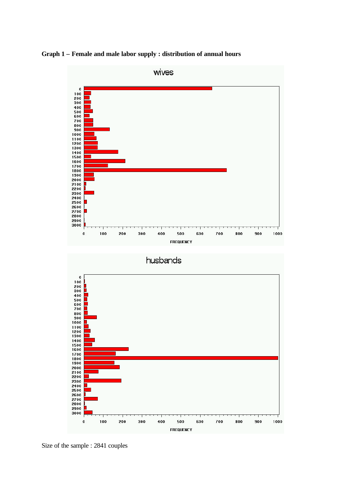**Graph 1 – Female and male labor supply : distribution of annual hours**



Size of the sample : 2841 couples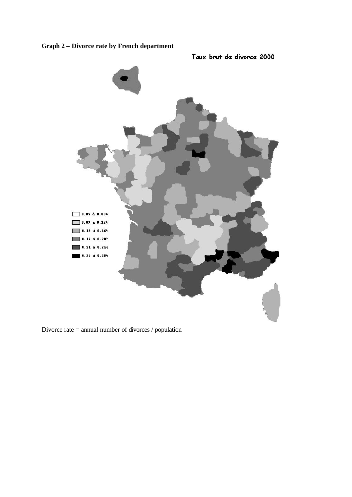**Graph 2 – Divorce rate by French department**





Divorce rate = annual number of divorces / population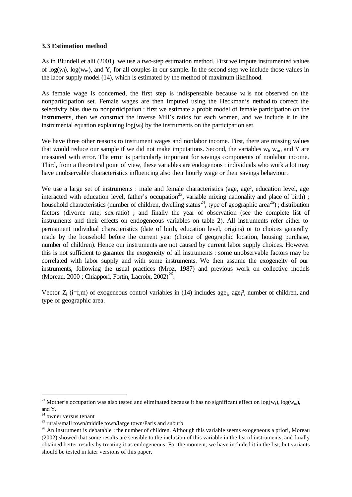# **3.3 Estimation method**

As in Blundell et alii (2001), we use a two-step estimation method. First we impute instrumented values of  $log(w_0)$ ,  $log(w_m)$ , and Y, for all couples in our sample. In the second step we include those values in the labor supply model (14), which is estimated by the method of maximum likelihood.

As female wage is concerned, the first step is indispensable because  $w_f$  is not observed on the nonparticipation set. Female wages are then imputed using the Heckman's method to correct the selectivity bias due to nonparticipation : first we estimate a probit model of female participation on the instruments, then we construct the inverse Mill's ratios for each women, and we include it in the instrumental equation explaining  $log(w_f)$  by the instruments on the participation set.

We have three other reasons to instrument wages and nonlabor income. First, there are missing values that would reduce our sample if we did not make imputations. Second, the variables  $w_f$ ,  $w_m$ , and Y are measured with error. The error is particularly important for savings components of nonlabor income. Third, from a theoretical point of view, these variables are endogenous : individuals who work a lot may have unobservable characteristics influencing also their hourly wage or their savings behaviour.

We use a large set of instruments : male and female characteristics (age, age<sup>2</sup>, education level, age interacted with education level, father's occupation<sup>23</sup>, variable mixing nationality and place of birth); household characteristics (number of children, dwelling status<sup>24</sup>, type of geographic area<sup>25</sup>); distribution factors (divorce rate, sex-ratio) ; and finally the year of observation (see the complete list of instruments and their effects on endogeneous variables on table 2). All instruments refer either to permament individual characteristics (date of birth, education level, origins) or to choices generally made by the household before the current year (choice of geographic location, housing purchase, number of children). Hence our instruments are not caused by current labor supply choices. However this is not sufficient to garantee the exogeneity of all instruments : some unobservable factors may be correlated with labor supply and with some instruments. We then assume the exogeneity of our instruments, following the usual practices (Mroz, 1987) and previous work on collective models (Moreau, 2000; Chiappori, Fortin, Lacroix, 2002)<sup>26</sup>.

Vector  $Z_i$  (i=f,m) of exogeneous control variables in (14) includes age<sub>i</sub>, age<sub>i</sub><sup>2</sup>, number of children, and type of geographic area.

<sup>&</sup>lt;sup>23</sup> Mother's occupation was also tested and eliminated because it has no significant effect on  $log(w_f)$ ,  $log(w_m)$ , and Y.

<sup>&</sup>lt;sup>24</sup> owner versus tenant

<sup>&</sup>lt;sup>25</sup> rural/small town/middle town/large town/Paris and suburb

<sup>&</sup>lt;sup>26</sup> An instrument is debatable : the number of children. Although this variable seems exogeneous a priori, Moreau (2002) showed that some results are sensible to the inclusion of this variable in the list of instruments, and finally obtained better results by treating it as endogeneous. For the moment, we have included it in the list, but variants should be tested in later versions of this paper.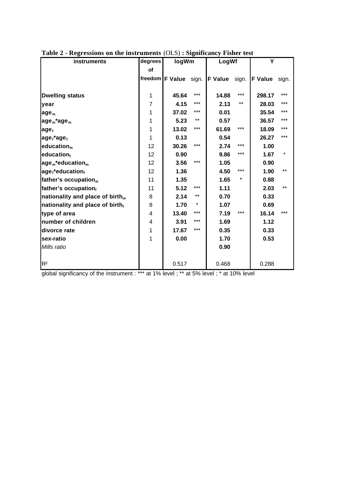| instruments                                 | degrees        | logWm                 |          | LogWf          |          | Υ                    |          |
|---------------------------------------------|----------------|-----------------------|----------|----------------|----------|----------------------|----------|
|                                             | Οf             |                       |          |                |          |                      |          |
|                                             |                | freedom F Value sign. |          | <b>F</b> Value |          | sign. <b>F Value</b> | sign.    |
|                                             |                |                       |          |                |          |                      |          |
| <b>Dwelling status</b>                      | 1              | 45.64                 | ***      | 14.88          | $***$    | 298.17               | ***      |
| year                                        | $\overline{7}$ | 4.15                  | ***      | 2.13           | $***$    | 28.03                | $***$    |
| age <sub>m</sub>                            | 1              | 37.02                 | ***      | 0.01           |          | 35.54                | ***      |
| $\text{age}_{m}$ *age $_m$                  | 1              | 5.23                  | $***$    | 0.57           |          | 36.57                | $***$    |
| age <sub>f</sub>                            | 1              | 13.02                 | ***      | 61.69          | $***$    | 18.09                | ***      |
| $age_f$ *age $_f$                           | 1              | 0.13                  |          | 0.54           |          | 26.27                | $***$    |
| education <sub>m</sub>                      | 12             | 30.26                 | ***      | 2.74           | ***      | 1.00                 |          |
| educationf                                  | 12             | 0.90                  |          | 9.86           | ***      | 1.67                 | $^\star$ |
| $agem * educationm$                         | 12             | 3.56                  | ***      | 1.05           |          | 0.90                 |          |
| age <sub>f</sub> *educationf                | 12             | 1.36                  |          | 4.50           | $***$    | 1.90                 | $***$    |
| father's occupation <sub>m</sub>            | 11             | 1.35                  |          | 1.65           | $^\star$ | 0.88                 |          |
| father's occupationf                        | 11             | 5.12                  | ***      | 1.11           |          | 2.03                 | $***$    |
| nationality and place of birth <sub>m</sub> | 8              | 2.14                  | $***$    | 0.70           |          | 0.33                 |          |
| nationality and place of birthf             | 8              | 1.70                  | $^\star$ | 1.07           |          | 0.69                 |          |
| type of area                                | 4              | 13.40                 | ***      | 7.19           | $***$    | 16.14                | ***      |
| number of children                          | 4              | 3.91                  | ***      | 1.69           |          | 1.12                 |          |
| divorce rate                                | 1              | 17.67                 | ***      | 0.35           |          | 0.33                 |          |
| sex-ratio                                   | 1              | 0.00                  |          | 1.70           |          | 0.53                 |          |
| Mills ratio                                 |                |                       |          | 0.90           |          |                      |          |
|                                             |                |                       |          |                |          |                      |          |
| R <sup>2</sup>                              |                | 0.517                 |          | 0.468          |          | 0.288                |          |

|  | Table 2 - Regressions on the instruments (OLS): Significancy Fisher test |  |  |
|--|--------------------------------------------------------------------------|--|--|
|  |                                                                          |  |  |

global significancy of the instrument : \*\*\* at 1% level ; \*\* at 5% level ; \* at 10% level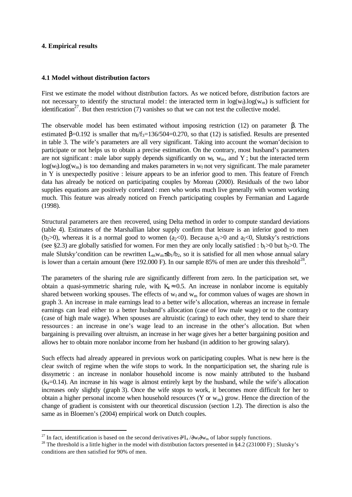### **4. Empirical results**

l

#### **4.1 Model without distribution factors**

First we estimate the model without distribution factors. As we noticed before, distribution factors are not necessary to identify the structural model: the interacted term in  $log(w_f)log(w_m)$  is sufficient for identification<sup>27</sup>. But then restriction (7) vanishes so that we can not test the collective model.

The observable model has been estimated without imposing restriction (12) on parameter β. The estimated  $\beta$ =0.192 is smaller that m<sub>3</sub>/f<sub>3</sub>=136/504=0.270, so that (12) is satisfied. Results are presented in table 3. The wife's parameters are all very significant. Taking into account the woman'decision to participate or not helps us to obtain a precise estimation. On the contrary, most husband's parameters are not significant : male labor supply depends significantly on  $w_f$ ,  $w_m$ , and Y; but the interacted term  $log(w_f)$ .log( $w_m$ ) is too demanding and makes parameters in  $w_f$  not very significant. The male parameter in Y is unexpectedly positive : leisure appears to be an inferior good to men. This feature of French data has already be noticed on participating couples by Moreau (2000). Residuals of the two labor supplies equations are positively correlated : men who works much live generally with women working much. This feature was already noticed on French participating couples by Fermanian and Lagarde (1998).

Structural parameters are then recovered, using Delta method in order to compute standard deviations (table 4). Estimates of the Marshallian labor supply confirm that leisure is an inferior good to men (b<sub>2</sub>>0), whereas it is a normal good to women (a<sub>2</sub><0). Because a<sub>1</sub>>0 and a<sub>2</sub><0, Slutsky's restrictions (see §2.3) are globally satisfied for women. For men they are only locally satisfied :  $b_1>0$  but  $b_2>0$ . The male Slutsky'condition can be rewritten  $L_m w_m \le b_1/b_2$ , so it is satisfied for all men whose annual salary is lower than a certain amount (here 192.000 F). In our sample 85% of men are under this threshold<sup>28</sup>.

The parameters of the sharing rule are significantly different from zero. In the participation set, we obtain a quasi-symmetric sharing rule, with  $K_4 \approx 0.5$ . An increase in nonlabor income is equitably shared between working spouses. The effects of  $w_f$  and  $w_m$  for common values of wages are shown in graph 3. An increase in male earnings lead to a better wife's allocation, whereas an increase in female earnings can lead either to a better husband's allocation (case of low male wage) or to the contrary (case of high male wage). When spouses are altruistic (caring) to each other, they tend to share their ressources : an increase in one's wage lead to an increase in the other's allocation. But when bargaining is prevailing over altruism, an increase in her wage gives her a better bargaining position and allows her to obtain more nonlabor income from her husband (in addition to her growing salary).

Such effects had already appeared in previous work on participating couples. What is new here is the clear switch of regime when the wife stops to work. In the nonparticipation set, the sharing rule is dissymetric : an increase in nonlabor household income is now mainly attributed to the husband  $(k_4=0.14)$ . An increase in his wage is almost entirely kept by the husband, while the wife's allocation increases only slightly (graph 3). Once the wife stops to work, it becomes more difficult for her to obtain a higher personal income when household resources (Y or  $w_m$ ) grow. Hence the direction of the change of gradient is consistent with our theoretical discussion (section 1.2). The direction is also the same as in Bloemen's (2004) empirical work on Dutch couples.

<sup>&</sup>lt;sup>27</sup> In fact, identification is based on the second derivatives  $\partial^2 L_i / \partial w_i \partial w_m$  of labor supply functions.

<sup>&</sup>lt;sup>28</sup> The threshold is a little higher in the model with distribution factors presented in §4.2 (231000 F); Slutsky's conditions are then satisfied for 90% of men.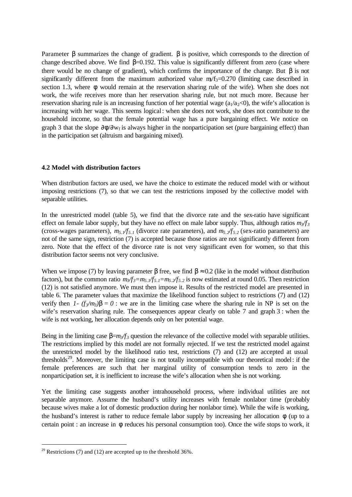Parameter  $\beta$  summarizes the change of gradient.  $\beta$  is positive, which corresponds to the direction of change described above. We find  $\beta$ =0.192. This value is significantly different from zero (case where there would be no change of gradient), which confirms the importance of the change. But β is not significantly different from the maximum authorized value  $m/f_3=0.270$  (limiting case described in section 1.3, where φ would remain at the reservation sharing rule of the wife). When she does not work, the wife receives more than her reservation sharing rule, but not much more. Because her reservation sharing rule is an increasing function of her potential wage  $(a_1/a_2<0)$ , the wife's allocation is increasing with her wage. This seems logical: when she does not work, she does not contribute to the household income, so that the female potential wage has a pure bargaining effect. We notice on graph 3 that the slope  $\partial \phi / \partial w_f$  is always higher in the nonparticipation set (pure bargaining effect) than in the participation set (altruism and bargaining mixed).

### **4.2 Model with distribution factors**

When distribution factors are used, we have the choice to estimate the reduced model with or without imposing restrictions (7), so that we can test the restrictions imposed by the collective model with separable utilities.

In the unrestricted model (table 5), we find that the divorce rate and the sex-ratio have significant effect on female labor supply, but they have no effect on male labor supply. Thus, although ratios *m3/f<sup>3</sup>* (cross-wages parameters),  $m_5$ ,  $\frac{1}{5}$ , 1 (divorce rate parameters), and  $m_5$ ,  $\frac{1}{5}$ , 2 (sex-ratio parameters) are not of the same sign, restriction (7) is accepted because those ratios are not significantly different from zero. Note that the effect of the divorce rate is not very significant even for women, so that this distribution factor seems not very conclusive.

When we impose (7) by leaving parameter  $\beta$  free, we find  $\beta \approx 0.2$  (like in the model without distribution factors), but the common ratio  $m_3$ /*f*<sub>3</sub>*=m*<sub>5.1</sub>/*f*<sub>5.1</sub>*=m*<sub>5.2</sub>/*f*<sub>5.2</sub> is now estimated at round 0.05. Then restriction (12) is not satisfied anymore. We must then impose it. Results of the restricted model are presented in table 6. The parameter values that maximize the likelihood function subject to restrictions (7) and (12) verify then *1-*  $(f_3/m_3)$ *b* = 0 : we are in the limiting case where the sharing rule in NP is set on the wife's reservation sharing rule. The consequences appear clearly on table 7 and graph 3 : when the wife is not working, her allocation depends only on her potential wage.

Being in the limiting case  $\beta = m\sqrt{f}$  question the relevance of the collective model with separable utilities. The restrictions implied by this model are not formally rejected. If we test the restricted model against the unrestricted model by the likelihood ratio test, restrictions (7) and (12) are accepted at usual thresholds<sup>29</sup>. Moreover, the limiting case is not totally incompatible with our theoretical model: if the female preferences are such that her marginal utility of consumption tends to zero in the nonparticipation set, it is inefficient to increase the wife's allocation when she is not working.

Yet the limiting case suggests another intrahousehold process, where individual utilities are not separable anymore. Assume the husband's utility increases with female nonlabor time (probably because wives make a lot of domestic production during her nonlabor time). While the wife is working, the husband's interest is rather to reduce female labor supply by increasing her allocation  $\phi$  (up to a certain point : an increase in φ reduces his personal consumption too). Once the wife stops to work, it

<sup>&</sup>lt;sup>29</sup> Restrictions (7) and (12) are accepted up to the threshold  $36\%$ .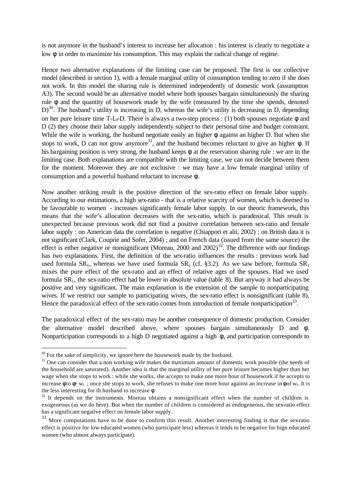is not anymore in the husband's interest to increase her allocation : his interest is clearly to negotiate a low φ in order to maximize his consumption. This may explain the radical change of regime.

Hence two alternative explanations of the limiting case can be proposed. The first is our collective model (described in section 1), with a female marginal utility of consumption tending to zero if she does not work. In this model the sharing rule is determined independently of domestic work (assumption A3). The second would be an alternative model where both spouses bargain simultaneously the sharing rule φ and the quantity of housework made by the wife (measured by the time she spends, denoted  $D$ <sup>30</sup>. The husband's utility is increasing in D, whereas the wife's utility is decreasing in D, depending on her pure leisure time T-L<sub>f</sub>-D. There is always a two-step process : (1) both spouses negotiate  $\phi$  and D (2) they choose their labor supply independently subject to their personal time and budget constraint. While the wife is working, the husband negotiate easily an higher φ against an higher D. But when she stops to work, D can not grow anymore<sup>31</sup>, and the husband becomes reluctant to give an higher  $\phi$ . If his bargaining position is very strong, the husband keeps φ at the reservation sharing rule : we are in the limiting case. Both explanations are compatible with the limiting case, we can not decide between them for the moment. Moreover they are not exclusive : we may have a low female marginal utility of consumption and a powerful husband reluctant to increase φ.

Now another striking result is the positive direction of the sex-ratio effect on female labor supply. According to our estimations, a high sex-ratio - that is a relative scarcity of women, which is deemed to be favourable to women - increases significantly female labor supply. In our theoric framework, this means that the wife's allocation decreases with the sex-ratio, which is paradoxical. This result is unexpected because previous work did not find a positive correlation between sex-ratio and female labor supply : on American data the correlation is negative (Chiappori et alii, 2002) ; on British data it is not significant (Clark, Couprie and Sofer, 2004) ; and on French data (issued from the same source) the effect is either negative or nonsignificant (Moreau, 2000 and  $2002$ )<sup>32</sup>. The difference with our findings has two explanations. First, the definition of the sex-ratio influences the results : previous work had used formula  $SR_1$ , whereas we have used formula  $SR_c$  (cf. §3.2). As we saw before, formula  $SR_1$ mixes the pure effect of the sex-ratio and an effect of relative ages of the spouses. Had we used formula SR1, the sex-ratio effect had be lower in absolute value (table 8). But anyway it had always be positive and very significant. The main explanation is the extension of the sample to nonparticipating wives. If we restrict our sample to participating wives, the sex-ratio effect is nonsignificant (table 8). Hence the paradoxical effect of the sex-ratio comes from introduction of female nonparticipation<sup>33</sup>.

The paradoxical effect of the sex-ratio may be another consequence of domestic production. Consider the alternative model described above, where spouses bargain simultaneously D and φ. Nonparticipation corresponds to a high D negotiated against a high φ, and participation corresponds to

 $30$  For the sake of simplicity, we ignore here the housework made by the husband.

<sup>&</sup>lt;sup>31</sup> One can consider that a non working wife makes the maximum amount of domestic work possible (the needs of the household are saturated). Another idea is that the marginal utility of her pure leisure becomes higher than her wage when she stops to work : while she works, she accepts to make one more hour of housework if he accepts to increase  $\phi$  to  $\phi$ + w<sub>f</sub>; once she stops to work, she refuses to make one more hour against an increase in  $\phi$  of w<sub>f</sub>. It is the less interesting for th husband to increase φ.

 $32$  It depends on the instruments. Moreau obtains a nonsignificant effect when the number of children is exogeneous (as we do here). But when the number of children is considered as endogeneous, the sex-ratio effect has a significant negative effect on female labor supply.

<sup>&</sup>lt;sup>33</sup> More computations have to be done to confirm this result. Another interesting finding is that the sex-ratio effect is positive for low educated women (who participate less) whereas it tends to be negative for hign educated women (who almost always participate).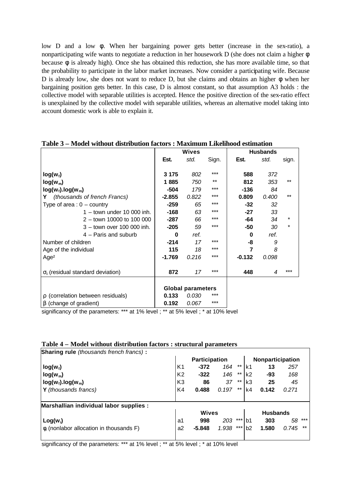low D and a low φ. When her bargaining power gets better (increase in the sex-ratio), a nonparticipating wife wants to negotiate a reduction in her housework D (she does not claim a higher φ because φ is already high). Once she has obtained this reduction, she has more available time, so that the probability to participate in the labor market increases. Now consider a participating wife. Because D is already low, she does not want to reduce D, but she claims and obtains an higher φ when her bargaining position gets better. In this case, D is almost constant, so that assumption A3 holds : the collective model with separable utilities is accepted. Hence the positive direction of the sex-ratio effect is unexplained by the collective model with separable utilities, whereas an alternative model taking into account domestic work is able to explain it.

|                                     | <b>Wives</b> |                          |       |          | <b>Husbands</b> |       |
|-------------------------------------|--------------|--------------------------|-------|----------|-----------------|-------|
|                                     | Est.         | std.                     | Sign. | Est.     | std.            | sign. |
|                                     |              |                          |       |          |                 |       |
| $log(w_i)$                          | 3 1 7 5      | 802                      | ***   | 588      | 372             |       |
| $log(w_m)$                          | 1885         | 750                      | $***$ | 812      | 353             | $***$ |
| $log(w_i)$ .log(w <sub>m</sub> )    | $-504$       | 179                      | ***   | $-136$   | 84              |       |
| (thousands of french Francs)<br>Y   | $-2.855$     | 0.822                    | ***   | 0.809    | 0.400           | $***$ |
| Type of area : $0 -$ country        | $-259$       | 65                       | ***   | -32      | 32              |       |
| $1 -$ town under 10 000 inh.        | $-168$       | 63                       | ***   | $-27$    | 33              |       |
| 2 - town 10000 to 100 000           | $-287$       | 66                       | ***   | -64      | 34              | *     |
| 3 - town over 100 000 inh.          | $-205$       | 59                       | ***   | -50      | 30              | *     |
| 4 - Paris and suburb                | $\bf{0}$     | ref.                     |       | $\bf{0}$ | ref.            |       |
| Number of children                  | $-214$       | 17                       | ***   | -8       | 9               |       |
| Age of the individual               | 115          | 18                       | ***   | 7        | 8               |       |
| Age <sup>2</sup>                    | $-1.769$     | 0.216                    | ***   | $-0.132$ | 0.098           |       |
|                                     |              |                          |       |          |                 |       |
| $s_i$ (residual standard deviation) | 872          | 17                       | ***   | 448      | 4               | ***   |
|                                     |              |                          |       |          |                 |       |
|                                     |              | <b>Global parameters</b> |       |          |                 |       |
| r (correlation between residuals)   | 0.133        | 0.030                    | ***   |          |                 |       |
| <b>b</b> (change of gradient)       | 0.192        | 0.067                    | ***   |          |                 |       |

### **Table 3 – Model without distribution factors : Maximum Likelihood estimation**

significancy of the parameters: \*\*\* at 1% level ; \*\* at 5% level ; \* at 10% level

|  |  |  | Table 4 – Model without distribution factors : structural parameters |  |  |  |
|--|--|--|----------------------------------------------------------------------|--|--|--|
|--|--|--|----------------------------------------------------------------------|--|--|--|

| <b>Sharing rule</b> (thousands french francs):      |                |                      |       |       |                |                 |                  |       |
|-----------------------------------------------------|----------------|----------------------|-------|-------|----------------|-----------------|------------------|-------|
|                                                     |                | <b>Participation</b> |       |       |                |                 | Nonparticipation |       |
| $log(w_i)$                                          | K1             | $-372$               | 164   | $***$ | k1             | 13              | 257              |       |
| $log(w_m)$                                          | K <sub>2</sub> | $-322$               | 146   | $***$ | k <sub>2</sub> | -93             | 168              |       |
| $log(w_i)$ .log(w <sub>m</sub> )                    | K <sub>3</sub> | 86                   | 37    | **    | k3             | 25              | 45               |       |
| Y (thousands francs)                                | K4             | 0.488                | 0.197 | $***$ | k4             | 0.142           | 0.271            |       |
| Marshallian individual labor supplies :             |                |                      |       |       |                |                 |                  |       |
|                                                     |                | <b>Wives</b>         |       |       |                | <b>Husbands</b> |                  |       |
| $Log(w_i)$                                          | a1             | 998                  | 203   | ***   | b1             | 303             | 58               | $***$ |
| $\mathbf{f}_i$ (nonlabor allocation in thousands F) | a2             | $-5.848$             | 1.938 | $***$ | b2             | 1.580           | 0.745            | $***$ |
|                                                     |                |                      |       |       |                |                 |                  |       |

significancy of the parameters: \*\*\* at 1% level ; \*\* at 5% level ; \* at 10% level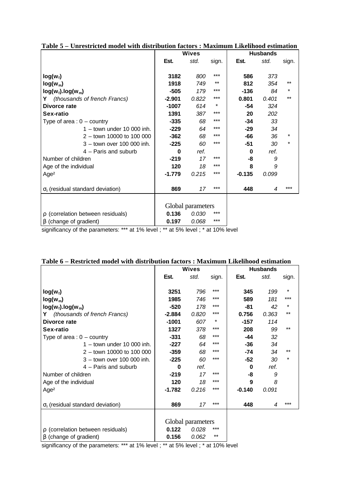|                                     | <b>Wives</b> |                   |       | <b>Husbands</b> |       |          |
|-------------------------------------|--------------|-------------------|-------|-----------------|-------|----------|
|                                     | Est.         | std.              | sign. | Est.            | std.  | sign.    |
|                                     |              |                   | ***   |                 |       |          |
| $log(w_i)$                          | 3182         | 800               | $***$ | 586             | 373   |          |
| $log(w_m)$                          | 1918         | 749               |       | 812             | 354   | $***$    |
| $log(w_i)$ .log(w <sub>m</sub> )    | $-505$       | 179               | $***$ | $-136$          | 84    | *        |
| (thousands of french Francs)<br>Y   | $-2.901$     | 0.822             | $***$ | 0.801           | 0.401 | $***$    |
| Divorce rate                        | $-1007$      | 614               | *     | -54             | 324   |          |
| Sex-ratio                           | 1391         | 387               | $***$ | 20              | 202   |          |
| Type of area : $0 -$ country        | $-335$       | 68                | ***   | -34             | 33    |          |
| $1 -$ town under 10 000 inh.        | $-229$       | 64                | $***$ | -29             | 34    |          |
| 2 - town 10000 to 100 000           | $-362$       | 68                | ***   | -66             | 36    | *        |
| 3 - town over 100 000 inh.          | $-225$       | 60                | ***   | -51             | 30    | $^\star$ |
| 4 - Paris and suburb                | $\Omega$     | ref.              |       | 0               | ref.  |          |
| Number of children                  | $-219$       | 17                | ***   | -8              | 9     |          |
| Age of the individual               | 120          | 18                | $***$ | 8               | 9     |          |
| Age <sup>2</sup>                    | $-1.779$     | 0.215             | ***   | $-0.135$        | 0.099 |          |
|                                     |              |                   |       |                 |       |          |
| $s_i$ (residual standard deviation) | 869          | 17                | ***   | 448             | 4     | ***      |
|                                     |              |                   |       |                 |       |          |
|                                     |              | Global parameters |       |                 |       |          |
| r (correlation between residuals)   | 0.136        | 0.030             | ***   |                 |       |          |
| <b>b</b> (change of gradient)       | 0.197        | 0.068             | $***$ |                 |       |          |

| Table 5 – Unrestricted model with distribution factors : Maximum Likelihood estimation |  |  |  |
|----------------------------------------------------------------------------------------|--|--|--|
|----------------------------------------------------------------------------------------|--|--|--|

significancy of the parameters: \*\*\* at 1% level ; \*\* at 5% level ; \* at 10% level

|                                     |          | <b>Wives</b>      |       |          | <b>Husbands</b> |          |
|-------------------------------------|----------|-------------------|-------|----------|-----------------|----------|
|                                     | Est.     | std.              | sign. | Est.     | std.            | sign.    |
|                                     |          |                   |       |          |                 |          |
| $log(w_i)$                          | 3251     | 796               | $***$ | 345      | 199             | $^\star$ |
| $log(w_m)$                          | 1985     | 746               | ***   | 589      | 181             | ***      |
| $log(w_i)$ .log(w <sub>m</sub> )    | $-520$   | 178               | ***   | -81      | 42              | *        |
| (thousands of french Francs)<br>Y.  | $-2.884$ | 0.820             | ***   | 0.756    | 0.363           | $***$    |
| Divorce rate                        | $-1001$  | 607               | *     | $-157$   | 114             |          |
| Sex-ratio                           | 1327     | 378               | ***   | 208      | 99              | $***$    |
| Type of area : $0 -$ country        | $-331$   | 68                | ***   | $-44$    | 32              |          |
| $1 -$ town under 10 000 inh.        | $-227$   | 64                | ***   | $-36$    | 34              |          |
| 2 - town 10000 to 100 000           | $-359$   | 68                | ***   | $-74$    | 34              | **       |
| 3 - town over 100 000 inh.          | $-225$   | 60                | $***$ | $-52$    | 30              | *        |
| 4 - Paris and suburb                | $\bf{0}$ | ref.              |       | $\bf{0}$ | ref.            |          |
| Number of children                  | $-219$   | 17                | ***   | -8       | 9               |          |
| Age of the individual               | 120      | 18                | ***   | 9        | 8               |          |
| Age <sup>2</sup>                    | $-1.782$ | 0.216             | ***   | $-0.140$ | 0.091           |          |
|                                     |          |                   |       |          |                 |          |
| $s_i$ (residual standard deviation) | 869      | 17                | ***   | 448      | 4               | ***      |
|                                     |          |                   |       |          |                 |          |
|                                     |          | Global parameters |       |          |                 |          |
| r (correlation between residuals)   | 0.122    | 0.028             | ***   |          |                 |          |
| <b>b</b> (change of gradient)       | 0.156    | 0.062             | $***$ |          |                 |          |

#### **Table 6 – Restricted model with distribution factors : Maximum Likelihood estimation**

significancy of the parameters: \*\*\* at 1% level ; \*\* at 5% level ; \* at 10% level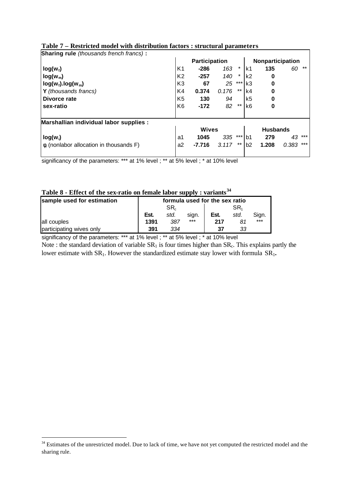| <b>Sharing rule</b> (thousands french francs):      |                      |          |       |          |                  |                 |              |
|-----------------------------------------------------|----------------------|----------|-------|----------|------------------|-----------------|--------------|
|                                                     | <b>Participation</b> |          |       |          | Nonparticipation |                 |              |
| $log(w_i)$                                          | K1                   | $-286$   | 163   | $^\ast$  | k1               | 135             | $***$<br>60  |
| $log(w_m)$                                          | K <sub>2</sub>       | $-257$   | 140   | $^\star$ | k <sub>2</sub>   | 0               |              |
| $log(w_i)$ .log(w <sub>m</sub> )                    | K <sub>3</sub>       | 67       | 25    | $***$    | k3               | 0               |              |
| <b>Y</b> (thousands francs)                         | K4                   | 0.374    | 0.176 | $***$    | k4               | 0               |              |
| Divorce rate                                        | K <sub>5</sub>       | 130      | 94    |          | k5               | 0               |              |
| sex-ratio                                           | K <sub>6</sub>       | $-172$   | 82    | $***$    | k6               | 0               |              |
| Marshallian individual labor supplies :             |                      |          |       |          |                  |                 |              |
|                                                     | <b>Wives</b>         |          |       |          |                  | <b>Husbands</b> |              |
| $log(w_i)$                                          | a1                   | 1045     | 335   | $***$    | b1               | 279             | ***<br>43    |
| $\mathbf{f}_i$ (nonlabor allocation in thousands F) | a2                   | $-7.716$ | 3.117 | $***$    | b2               | 1.208           | ***<br>0.383 |

# **Table 7 – Restricted model with distribution factors : structural parameters**

significancy of the parameters: \*\*\* at 1% level ; \*\* at 5% level ; \* at 10% level

# **Table 8 - Effect of the sex-ratio on female labor supply : variants<sup>34</sup>**

| TANIC A<br>- Little of the sex ratio on remarc labor suppry , variance |                                |      |       |                 |      |       |  |  |  |  |
|------------------------------------------------------------------------|--------------------------------|------|-------|-----------------|------|-------|--|--|--|--|
| sample used for estimation                                             | formula used for the sex ratio |      |       |                 |      |       |  |  |  |  |
|                                                                        |                                | SR.  |       | SR <sub>1</sub> |      |       |  |  |  |  |
|                                                                        | Est.                           | std. | sign. | Est.            | std. | Sign. |  |  |  |  |
| all couples                                                            | 1391                           | 387  | $***$ | 217             | 81   | $***$ |  |  |  |  |
| participating wives only                                               | 391                            | 334  |       | 37              | 33   |       |  |  |  |  |

significancy of the parameters: \*\*\* at 1% level ; \*\* at 5% level ; \* at 10% level

Note : the standard deviation of variable  $SR<sub>1</sub>$  is four times higher than  $SR<sub>c</sub>$ . This explains partly the lower estimate with  $SR_1$ . However the standardized estimate stay lower with formula  $SR_1$ .

<sup>&</sup>lt;sup>34</sup> Estimates of the unrestricted model. Due to lack of time, we have not yet computed the restricted model and the sharing rule.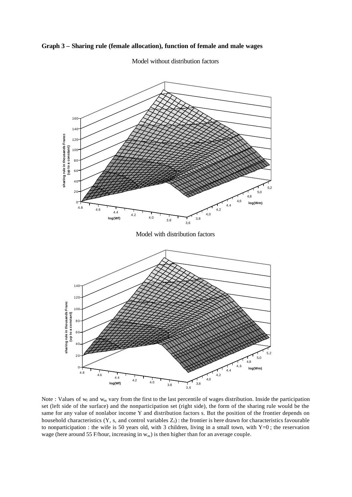**Graph 3 – Sharing rule (female allocation), function of female and male wages**



Model without distribution factors

Note : Values of  $w_f$  and  $w_m$  vary from the first to the last percentile of wages distribution. Inside the participation set (left side of the surface) and the nonparticipation set (right side), the form of the sharing rule would be the same for any value of nonlabor income Y and distribution factors s. But the position of the frontier depends on household characteristics (Y, s, and control variables  $Z_f$ ) : the frontier is here drawn for characteristics favourable to nonparticipation : the wife is 50 years old, with 3 children, living in a small town, with Y=0 ; the reservation wage (here around 55 F/hour, increasing in  $w_m$ ) is then higher than for an average couple.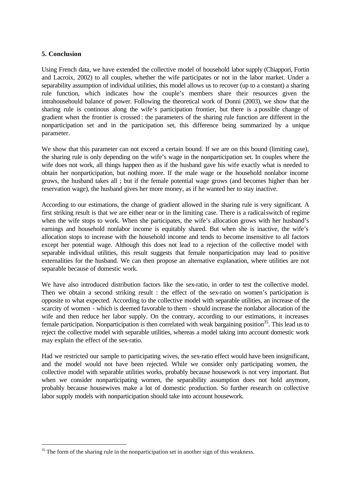# **5. Conclusion**

l

Using French data, we have extended the collective model of household labor supply (Chiappori, Fortin and Lacroix, 2002) to all couples, whether the wife participates or not in the labor market. Under a separability assumption of individual utilities, this model allows us to recover (up to a constant) a sharing rule function, which indicates how the couple's members share their resources given the intrahousehould balance of power. Following the theoretical work of Donni (2003), we show that the sharing rule is continous along the wife's participation frontier, but there is a possible change of gradient when the frontier is crossed : the parameters of the sharing rule function are different in the nonparticipation set and in the participation set, this difference being summarized by a unique parameter.

We show that this parameter can not exceed a certain bound. If we are on this bound (limiting case), the sharing rule is only depending on the wife's wage in the nonparticipation set. In couples where the wife does not work, all things happen then as if the husband gave his wife exactly what is needed to obtain her nonparticipation, but nothing more. If the male wage or the household nonlabor income grows, the husband takes all ; but if the female potential wage grows (and becomes higher than her reservation wage), the husband gives her more money, as if he wanted her to stay inactive.

According to our estimations, the change of gradient allowed in the sharing rule is very significant. A first striking result is that we are either near or in the limiting case. There is a radical switch of regime when the wife stops to work. When she participates, the wife's allocation grows with her husband's earnings and household nonlabor income is equitably shared. But when she is inactive, the wife's allocation stops to increase with the household income and tends to become insensitive to all factors except her potential wage. Although this does not lead to a rejection of the collective model with separable individual utilities, this result suggests that female nonparticipation may lead to positive externalities for the husband. We can then propose an alternative explanation, where utilities are not separable because of domestic work.

We have also introduced distribution factors like the sex-ratio, in order to test the collective model. Then we obtain a second striking result : the effect of the sex-ratio on women's participation is opposite to what expected. According to the collective model with separable utilities, an increase of the scarcity of women - which is deemed favorable to them - should increase the nonlabor allocation of the wife and then reduce her labor supply. On the contrary, according to our estimations, it increases female participation. Nonparticipation is then correlated with weak bargaining position<sup>35</sup>. This lead us to reject the collective model with separable utilities, whereas a model taking into account domestic work may explain the effect of the sex-ratio.

Had we restricted our sample to participating wives, the sex-ratio effect would have been insignificant, and the model would not have been rejected. While we consider only participating women, the collective model with separable utilities works, probably because housework is not very important. But when we consider nonparticipating women, the separability assumption does not hold anymore, probably because housewives make a lot of domestic production. So further research on collective labor supply models with nonparticipation should take into account housework.

 $35$  The form of the sharing rule in the nonparticipation set in another sign of this weakness.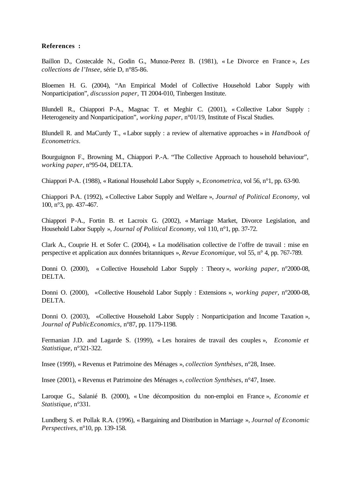#### **References :**

Baillon D., Costecalde N., Godin G., Munoz-Perez B. (1981), « Le Divorce en France », *Les collections de l'Insee,* série D, n°85-86.

Bloemen H. G. (2004), "An Empirical Model of Collective Household Labor Supply with Nonparticipation", *discussion paper,* TI 2004-010, Tinbergen Institute.

Blundell R., Chiappori P-A., Magnac T. et Meghir C. (2001), « Collective Labor Supply : Heterogeneity and Nonparticipation", *working paper*, n°01/19, Institute of Fiscal Studies.

Blundell R. and MaCurdy T., «Labor supply : a review of alternative approaches » in *Handbook of Econometrics*.

Bourguignon F., Browning M., Chiappori P.-A. "The Collective Approach to household behaviour", *working paper*, n°95-04, DELTA.

Chiappori P-A. (1988), « Rational Household Labor Supply », *Econometrica*, vol 56, n°1, pp. 63-90.

Chiappori P-A. (1992), «Collective Labor Supply and Welfare », *Journal of Political Economy,* vol 100, n°3, pp. 437-467.

Chiappori P-A., Fortin B. et Lacroix G. (2002), « Marriage Market, Divorce Legislation, and Household Labor Supply », *Journal of Political Economy,* vol 110, n°1, pp. 37-72.

Clark A., Couprie H. et Sofer C. (2004), « La modélisation collective de l'offre de travail : mise en perspective et application aux données britanniques », *Revue Economique,* vol 55, n° 4, pp. 767-789.

Donni O. (2000), « Collective Household Labor Supply : Theory », *working paper*, n°2000-08, DELTA.

Donni O. (2000), «Collective Household Labor Supply : Extensions », *working paper*, n°2000-08, DELTA.

Donni O. (2003), «Collective Household Labor Supply : Nonparticipation and Income Taxation », *Journal of PublicEconomics,* n°87, pp. 1179-1198.

Fermanian J.D. and Lagarde S. (1999), « Les horaires de travail des couples », *Economie et Statistique,* n°321-322.

Insee (1999), « Revenus et Patrimoine des Ménages », *collection Synthèses*, n°28, Insee.

Insee (2001), « Revenus et Patrimoine des Ménages », *collection Synthèses*, n°47, Insee.

Laroque G., Salanié B. (2000), « Une décomposition du non-emploi en France », *Economie et Statistique,* n°331.

Lundberg S. et Pollak R.A. (1996), « Bargaining and Distribution in Marriage », *Journal of Economic Perspectives*, n°10, pp. 139-158.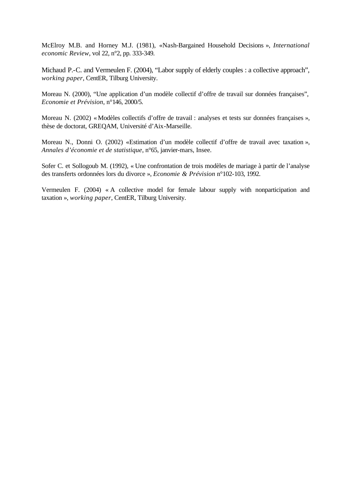McElroy M.B. and Horney M.J. (1981), «Nash-Bargained Household Decisions », *International economic Review*, vol 22, n°2, pp. 333-349.

Michaud P.-C. and Vermeulen F. (2004), "Labor supply of elderly couples : a collective approach", *working paper*, CentER, Tilburg University.

Moreau N. (2000), "Une application d'un modèle collectif d'offre de travail sur données françaises", *Economie et Prévision*, n°146, 2000/5.

Moreau N. (2002) «Modèles collectifs d'offre de travail : analyses et tests sur données françaises », thèse de doctorat, GREQAM, Université d'Aix-Marseille.

Moreau N., Donni O. (2002) «Estimation d'un modèle collectif d'offre de travail avec taxation », *Annales d'économie et de statistique*, n°65, janvier-mars, Insee.

Sofer C. et Sollogoub M. (1992), « Une confrontation de trois modèles de mariage à partir de l'analyse des transferts ordonnées lors du divorce », *Economie & Prévision* n°102-103, 1992.

Vermeulen F. (2004) « A collective model for female labour supply with nonparticipation and taxation », *working paper*, CentER, Tilburg University.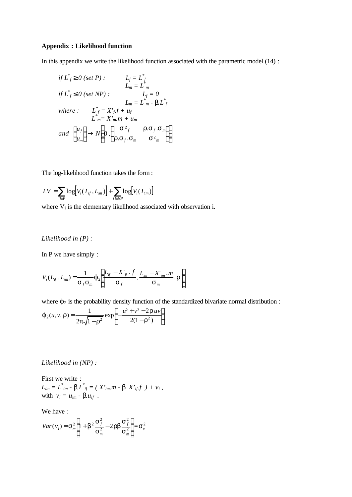#### **Appendix : Likelihood function**

In this appendix we write the likelihood function associated with the parametric model (14) :

$$
\begin{aligned}\n\text{if } L_f^* \mathbf{S} \cdot \mathbf{0} \text{ (set P)}: \qquad & L_f = L_f^* \\
\text{if } L_f^* \mathbf{E} \cdot \mathbf{0} \text{ (set NP)}: \qquad & L_f = 0 \\
& L_m = L_m^* - \mathbf{b} L_f^* \\
\text{where } & L_{m}^* = X'_{f} f + u_f \\
& L_{m}^* = X'_{m} \cdot \mathbf{m} + u_m \\
\text{and } \begin{pmatrix} u_f \\ u_m \end{pmatrix} \rightarrow N \begin{pmatrix} \mathbf{S}^2 f & \mathbf{r} \cdot \mathbf{S} f \cdot \mathbf{S}_m \\ \mathbf{r} \cdot \mathbf{S} f \cdot \mathbf{S}_m & \mathbf{S}^2_m \end{pmatrix}\n\end{aligned}
$$

The log-likelihood function takes the form :

$$
LV = \sum_{i \in P} \log[V_i(L_{if}, L_{im})] + \sum_{i \in NP} \log[V_i(L_{im})]
$$

where  $V_i$  is the elementary likelihood associated with observation i.

#### *Likelihood in (P) :*

In P we have simply :

$$
V_i(L_{if}, L_{im}) = \frac{1}{\mathbf{S}_f \mathbf{S}_m} \mathbf{j} \left[ \frac{L_{if} - X^{\prime}_{if} \cdot f}{\mathbf{S}_f}, \frac{L_{im} - X^{\prime}_{im} \cdot m}{\mathbf{S}_m}, \mathbf{r} \right]
$$

where  $\varphi_2$  is the probability density function of the standardized bivariate normal distribution :

$$
\boldsymbol{j}_{2}(u, v, \boldsymbol{r}) = \frac{1}{2\boldsymbol{p}\sqrt{1-\boldsymbol{r}^{2}}} \exp\left[-\frac{u^{2}+v^{2}-2\boldsymbol{r}uv}{2(1-\boldsymbol{r}^{2})}\right]
$$

#### *Likelihood in (NP) :*

First we write :  $L_{im} = L^*_{im}$  - *b*. $L^*_{if} = (X^*_{im}.m - \mathbf{b}, X^*_{if}.f) + v_i$ with  $v_i = u_{im} - \mathbf{b} u_{if}$ .

We have :

$$
Var(v_i) = \mathbf{S}_m^2 \left[ 1 + \mathbf{b}^2 \frac{\mathbf{S}_f^2}{\mathbf{S}_m^2} - 2 \mathbf{r} \mathbf{b} \frac{\mathbf{S}_f^2}{\mathbf{S}_m^2} \right] = \mathbf{S}_v^2
$$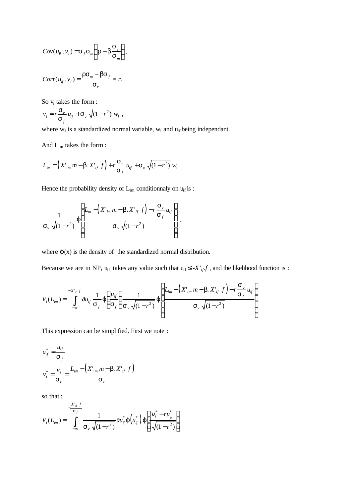$$
Cov(u_{if}, v_i) = \mathbf{s}_f \mathbf{s}_m \left( \mathbf{r} - \mathbf{b} \frac{\mathbf{s}_f}{\mathbf{s}_m} \right),
$$
  

$$
Corr(u_{if}, v_i) = \frac{\mathbf{r} \mathbf{s}_m - \mathbf{b} \mathbf{s}_f}{\mathbf{s}_v} = r.
$$

So  $v_i$  takes the form :

$$
v_i = r \frac{\mathbf{S}_v}{\mathbf{S}_f} u_{if} + \mathbf{S}_v \sqrt{(1 - r^2)} w_i ,
$$

where  $w_i$  is a standardized normal variable,  $w_i$  and  $u_{if}$  being independant.

And Lim takes the form :

$$
L_{im} = \left(X'_{im} m - \mathbf{b}. X'_{if} f\right) + r \frac{\mathbf{S}_v}{\mathbf{S}_f} u_{if} + \mathbf{S}_v \sqrt{(1 - r^2)} w_i
$$

Hence the probability density of  $L_{\rm im}$  conditionnaly on  $u_{\rm f}$  is :

$$
\frac{1}{\mathbf{s}_{v}\sqrt{(1-r^{2})}}\mathbf{j}\left[\frac{L_{m}-\left(X_{im}m-\mathbf{j}X_{if}^{T}f\right)-r\frac{\mathbf{s}_{v}}{\mathbf{s}_{f}}u_{if}}{\mathbf{s}_{v}\sqrt{(1-r^{2})}}\right],
$$

where  $\varphi(x)$  is the density of the standardized normal distribution.

Because we are in NP,  $u_{if}$  takes any value such that  $u_{if} \leq -X'_{if}f$ , and the likelihood function is :

$$
V_i(L_{im}) = \int_{-\infty}^{-X'_{if}f} \P u_{if} \frac{1}{\mathbf{s}_f} \mathbf{j} \left( \frac{u_{if}}{\mathbf{s}_f} \right) \frac{1}{\mathbf{s}_v \sqrt{(1-r^2)}} \mathbf{j} \left( \frac{L_{im} - \left( X'_{im} m - \mathbf{b} . X'_{if} f \right) - r \frac{\mathbf{s}_v}{\mathbf{s}_f} u_{if}}{\mathbf{s}_v \sqrt{(1-r^2)}} \right)
$$

This expression can be simplified. First we note :

$$
u_{if}^{*} = \frac{u_{if}}{S_{f}}
$$
  

$$
v_{i}^{*} = \frac{v_{i}}{S_{v}} = \frac{L_{im} - (X'_{im} m - \mathbf{b}. X'_{if} f)}{S_{v}}
$$

so that :

$$
V_i(L_{im}) = \int_{-\infty}^{-X'_{if}f} \frac{1}{S_v \sqrt{(1-r^2)}} \P u_{if}^* \mathbf{j} \left( u_{if}^* \right) \mathbf{j} \left[ \frac{\mathbf{n}_i^* - ru_{if}^*}{\sqrt{(1-r^2)}} \right]
$$